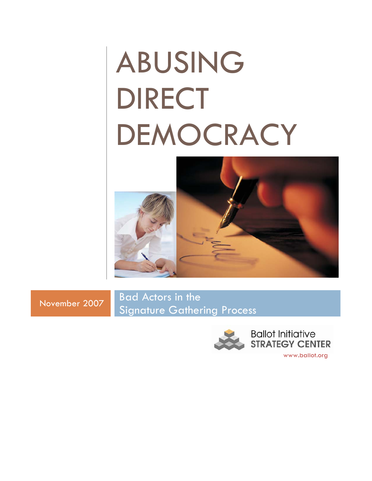# ABUSING DIRECT DEMOCRACY



November <sup>2007</sup> Bad Actors in the Signature Gathering Process

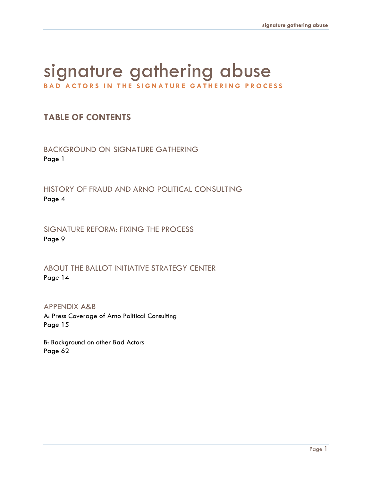## signature gathering abuse **BAD ACTORS IN THE SIGNATURE GATHERING PROCESS**

## **TABLE OF CONTENTS**

BACKGROUND ON SIGNATURE GATHERING Page 1

HISTORY OF FRAUD AND ARNO POLITICAL CONSULTING Page 4

SIGNATURE REFORM: FIXING THE PROCESS Page 9

ABOUT THE BALLOT INITIATIVE STRATEGY CENTER Page 14

APPENDIX A&B A: Press Coverage of Arno Political Consulting Page 15

B: Background on other Bad Actors Page 62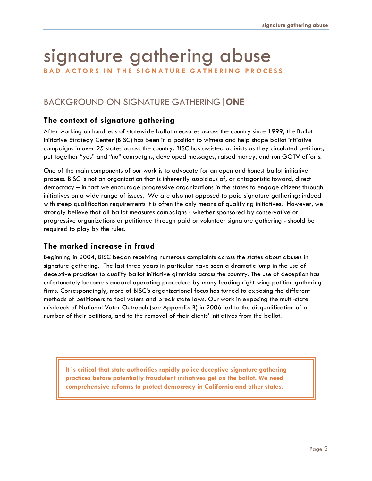## signature gathering abuse

**BAD ACTORS IN THE SIGNATURE GATHERING PROCESS** 

## BACKGROUND ON SIGNATURE GATHERING|**ONE**

#### **The context of signature gathering**

After working on hundreds of statewide ballot measures across the country since 1999, the Ballot Initiative Strategy Center (BISC) has been in a position to witness and help shape ballot initiative campaigns in over 25 states across the country. BISC has assisted activists as they circulated petitions, put together "yes" and "no" campaigns, developed messages, raised money, and run GOTV efforts.

One of the main components of our work is to advocate for an open and honest ballot initiative process. BISC is not an organization that is inherently suspicious of, or antagonistic toward, direct democracy – in fact we encourage progressive organizations in the states to engage citizens through initiatives on a wide range of issues. We are also not opposed to paid signature gathering; indeed with steep qualification requirements it is often the only means of qualifying initiatives. However, we strongly believe that all ballot measures campaigns - whether sponsored by conservative or progressive organizations or petitioned through paid or volunteer signature gathering - should be required to play by the rules.

#### **T he marked increase in fraud**

Beginning in 2004, BISC began receiving n umerous complaints across the states about abuses in deceptive practices to qualify ballot initiative gimmicks across the country. The use of deception has signature gathering. The last three years in particular have seen a dramatic jump in the use of unfortunately become standard operating procedure by many leading right-wing petition gathering firms. Correspondingly, more of BISC's organizational focus has turned to exposing the different methods of petitioners to fool voters and break state laws. Our work in exposing the multi-state misdeeds of National Voter Outreach (see Appendix B) in 2006 led to the disqualification of a number of their petitions, and to the removal of their clients' initiatives from the ballot.

**It is critical that state authorities rapidly police deceptive signature gathering practices before potentially fraudulent initiatives get on the ballot. We need comprehensive reforms to protect democracy in California and other states.**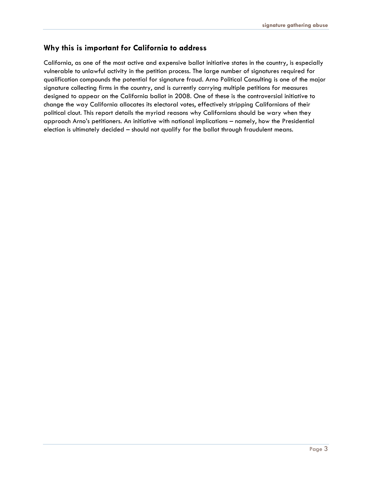#### **Why this is important for California to address**

California, as one of the most active and expensive ballot initiative states in the country, is especially vulnerable to unlawful activity in the petition process. The large number of signatures required for qualification compounds the potential for signature fraud. Arno Political Consulting is one of the major signature collecting firms in the country, and is currently carrying multiple petitions for measures designed to appear on the California ballot in 2008. One of these is the controversial initiative to change the way California allocates its electoral votes, effectively stripping Californians of their political clout. This report details the myriad reasons why Californians should be wary when they approach Arno's petitioners. An initiative with national implications – namely, how the Presidential election is ultimately decided – should not qualify for the ballot through fraudulent means.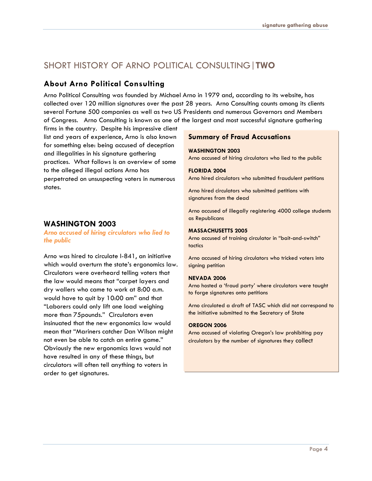## SHORT HISTORY OF ARNO POLITICAL CONSULTING|**TWO**

#### **About Arno Political Consulting**

Arno Political Consulting was founded by Michael Arno in 1979 and, according to its website, has collected over 120 million signatures over the past 28 years. Arno Consulting counts among its clients several Fortune 500 companies as well as two US Presidents and numerous Governors and Members of Congress. Arno Consulting is known as one of the largest and most successful signature gathering

firms in the country. Despite his impressive client list and years of experience, Arno is also known for something else: being accused of deception and illegalities in his signature gathering practices. What follows is an overview of some to the alleged illegal actions Arno has perpetrated on unsuspecting voters in numerous states.

#### **WASHINGTON 2003**

#### *Arno accused of hiring circulators who lied to the public*

Arno was hired to circulate I-841, an initiative which would overturn the state's ergonomics law. Circulators were overheard telling voters that the law would means that "carpet layers and dry wallers who came to work at 8:00 a.m. would have to quit by 10:00 am" and that "Laborers could only lift one load weighing more than 75pounds." Circulators even insinuated that the new ergonomics law would mean that "Mariners catcher Dan Wilson might not even be able to catch an entire game." Obviously the new ergonomics laws would not have resulted in any of these things, but circulators will often tell anything to voters in order to get signatures.

#### **Summary of Fraud Accusations**

#### **WASHINGTON 2003**

Arno accused of hiring circulators who lied to the public

#### **FLORIDA 2004**

Arno hired circulators who submitted fraudulent petitions

Arno hired circulators who submitted petitions with signatures from the dead

Arno accused of illegally registering 4000 college students as Republicans

#### **MASSACHUSETTS 2005**

Arno accused of training circulator in "bait-and-switch" tactics

Arno accused of hiring circulators who tricked voters into signing petition

#### **NEVADA 2006**

Arno hosted a 'fraud party' where circulators were taught to forge signatures onto petitions

Arno circulated a draft of TASC which did not correspond to the initiative submitted to the Secretary of State

#### **OREGON 2006**

Arno accused of violating Oregon's law prohibiting pay circulators by the number of signatures they collect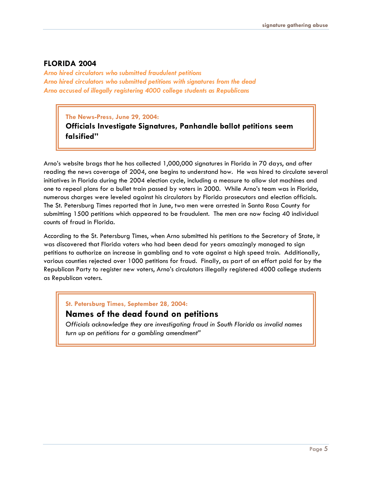#### **FLORIDA 2004**

*Arno hired circulators who submitted fraudulent petitions Arno hired circulators who submitted petitions with signatures from the dead Arno accused of illegally registering 4000 college students as Republicans*

**The News-Press, June 29, 2004:** 

**Officials Investigate Signatures, Panhandle ballot petitions seem falsified"**

Arno's website brags that he has collected 1,000,000 signatures in Florida in 70 days, and after reading the news coverage of 2004, one begins to understand how. He was hired to circulate several initiatives in Florida during the 2004 election cycle, including a measure to allow slot machines and one to repeal plans for a bullet train passed by voters in 2000. While Arno's team was in Florida, numerous charges were leveled against his circulators by Florida prosecutors and election officials. The St. Petersburg Times reported that in June, two men were arrested in Santa Rosa County for submitting 1500 petitions which appeared to be fraudulent. The men are now facing 40 individual counts of fraud in Florida.

According to the St. Petersburg Times, when Arno submitted his petitions to the Secretary of State, it was discovered that Florida voters who had been dead for years amazingly managed to sign petitions to authorize an increase in gambling and to vote against a high speed train. Additionally, various counties rejected over 1000 petitions for fraud. Finally, as part of an effort paid for by the Republican Party to register new voters, Arno's circulators illegally registered 4000 college students as Republican voters.

**St. Petersburg Times, September 28, 2004:** 

#### **Names of the dead found on petitions**

*Officials acknowledge they are investigating fraud in South Florida as invalid names turn up on petitions for a gambling amendment"*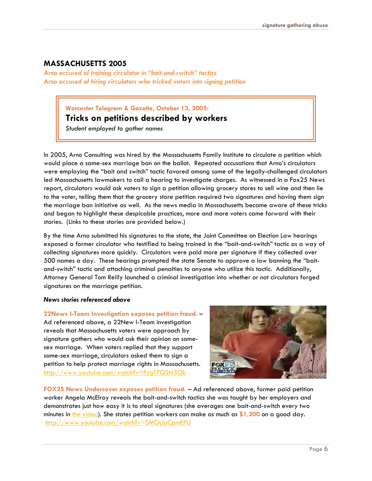#### **MASSACHUSETTS 2005**

*Arno accused of training circulator in "bait-and-switch" tactics Arno accused of hiring circulators who tricked voters into signing petition*

#### **Worcester Telegram & Gazette, October 13, 2005:**

#### **Tricks on petitions described by workers**

*Student employed to gather names*

In 2005, Arno Consulting was hired by the Massachusetts Family Institute to circulate a petition which would place a same-sex marriage ban on the ballot. Repeated accusations that Arno's circulators were employing the "bait and switch" tactic favored among some of the legally-challenged circulators led Massachusetts lawmakers to call a hearing to investigate charges. As witnessed in a Fox25 News report, circulators would ask voters to sign a petition allowing grocery stores to sell wine and then lie to the voter, telling them that the grocery store petition required two signatures and having them sign the marriage ban initiative as well. As the news media in Massachusetts became aware of these tricks and began to highlight these despicable practices, more and more voters came forward with their stories. (Links to these stories are provided below.)

By the time Arno submitted his signatures to the state, the Joint Committee on Election Law hearings exposed a former circulator who testified to being trained in the "bait-and-switch" tactic as a way of collecting signatures more quickly. Circulators were paid more per signature if they collected over 500 names a day. These hearings prompted the state Senate to approve a law banning the "baitand-switch" tactic and attaching criminal penalties to anyone who utilize this tactic. Additionally, Attorney General Tom Reilly launched a criminal investigation into whether or not circulators forged signatures on the marriage petition.

#### *News stories referenced above*

**22News I-Team Investigation exposes petition fraud.** – Ad referenced above, a 22New I-Team investigation reveals that Massachusetts voters were approach by signature gathers who would ask their opinion on samesex marriage. When voters replied that they support same-sex marriage, circulators asked them to sign a petition to help protect marriage rights in Massachusetts. <http://www.youtube.com/watch?v=Pzgf7QSN3Qk>



**FOX25 News Undercover exposes petition fraud.** – Ad referenced above, former paid petition worker Angela McElroy reveals the bait-and-switch tactics she was taught by her employers and demonstrates just how easy it is to steal signatures (she averages one bait-and-switch every two minutes in [the video](http://knowthyneighbor.blogs.com/home/2005/12/download_fraud_.html)). She states petition workers can make as much as **\$1,200** on a good day. <http://www.youtube.com/watch?v=SMGUaCpmEPU>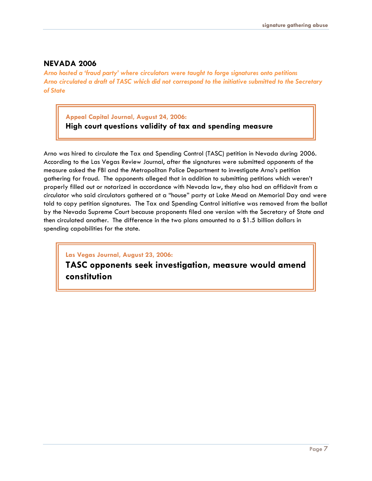#### **NEVADA 2006**

*Arno hosted a 'fraud party' where circulators were taught to forge signatures onto petitions Arno circulated a draft of TASC which did not correspond to the initiative submitted to the Secretary of State* 

**Appeal Capital Journal, August 24, 2006:** 

**High court questions validity of tax and spending measure**

Arno was hired to circulate the Tax and Spending Control (TASC) petition in Nevada during 2006. According to the Las Vegas Review Journal, after the signatures were submitted opponents of the measure asked the FBI and the Metropolitan Police Department to investigate Arno's petition gathering for fraud. The opponents alleged that in addition to submitting petitions which weren't properly filled out or notarized in accordance with Nevada law, they also had an affidavit from a circulator who said circulators gathered at a "house" party at Lake Mead on Memorial Day and were told to copy petition signatures. The Tax and Spending Control initiative was removed from the ballot by the Nevada Supreme Court because proponents filed one version with the Secretary of State and then circulated another. The difference in the two plans amounted to a \$1.5 billion dollars in spending capabilities for the state.

**Las Vegas Journal, August 23, 2006:** 

**TASC opponents seek investigation, measure would amend constitution**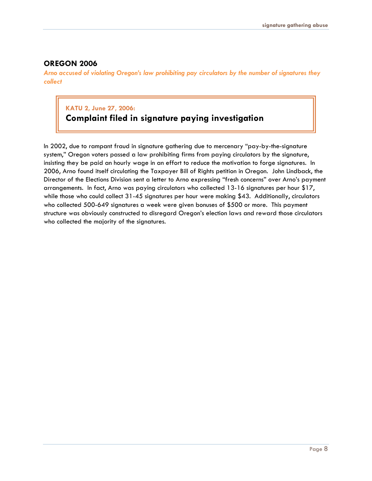#### **OREGON 2006**

*Arno accused of violating Oregon's law prohibiting pay circulators by the number of signatures they collect*

## **KATU 2, June 27, 2006:**

## **Complaint filed in signature paying investigation**

In 2002, due to rampant fraud in signature gathering due to mercenary "pay-by-the-signature system," Oregon voters passed a law prohibiting firms from paying circulators by the signature, insisting they be paid an hourly wage in an effort to reduce the motivation to forge signatures. In 2006, Arno found itself circulating the Taxpayer Bill of Rights petition in Oregon. John Lindback, the Director of the Elections Division sent a letter to Arno expressing "fresh concerns" over Arno's payment arrangements. In fact, Arno was paying circulators who collected 13-16 signatures per hour \$17, while those who could collect 31-45 signatures per hour were making \$43. Additionally, circulators who collected 500-649 signatures a week were given bonuses of \$500 or more. This payment structure was obviously constructed to disregard Oregon's election laws and reward those circulators who collected the majority of the signatures.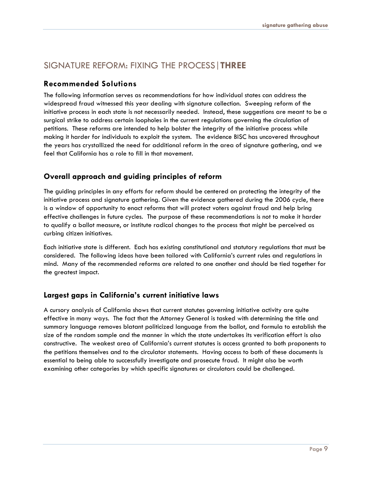### SIGNATURE REFORM: FIXING THE PROCESS|**THREE**

#### **Recommended Solutions**

The following information serves as recommendations for how individual states can address the widespread fraud witnessed this year dealing with signature collection. Sweeping reform of the initiative process in each state is not necessarily needed. Instead, these suggestions are meant to be a surgical strike to address certain loopholes in the current regulations governing the circulation of petitions. These reforms are intended to help bolster the integrity of the initiative process while making it harder for individuals to exploit the system. The evidence BISC has uncovered throughout the years has crystallized the need for additional reform in the area of signature gathering, and we feel that California has a role to fill in that movement.

#### **Overall approach and guiding principles of reform**

The guiding principles in any efforts for reform should be centered on protecting the integrity of the initiative process and signature gathering. Given the evidence gathered during the 2006 cycle, there is a window of opportunity to enact reforms that will protect voters against fraud and help bring effective challenges in future cycles. The purpose of these recommendations is not to make it harder to qualify a ballot measure, or institute radical changes to the process that might be perceived as curbing citizen initiatives.

Each initiative state is different. Each has existing constitutional and statutory regulations that must be considered. The following ideas have been tailored with California's current rules and regulations in mind. Many of the recommended reforms are related to one another and should be tied together for the greatest impact.

#### **Largest gaps in California's current initiative laws**

A cursory analysis of California shows that current statutes governing initiative activity are quite effective in many ways. The fact that the Attorney General is tasked with determining the title and summary language removes blatant politicized language from the ballot, and formula to establish the size of the random sample and the manner in which the state undertakes its verification effort is also constructive. The weakest area of California's current statutes is access granted to both proponents to the petitions themselves and to the circulator statements. Having access to both of these documents is essential to being able to successfully investigate and prosecute fraud. It might also be worth examining other categories by which specific signatures or circulators could be challenged.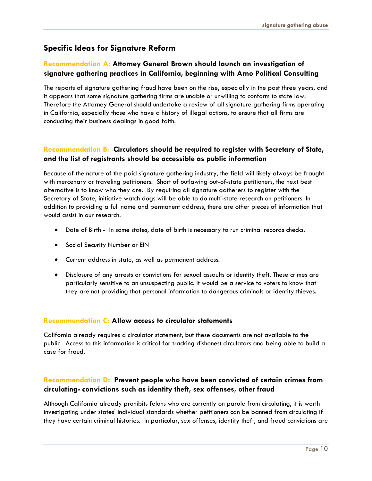#### **Specific Ideas for Signature Reform**

#### **Recommendation A: Attorney General Brown should launch an investigation of signature gathering practices in California, beginning with Arno Political Consulting**

The reports of signature gathering fraud have been on the rise, especially in the past three years, and it appears that some signature gathering firms are unable or unwilling to conform to state law. Therefore the Attorney General should undertake a review of all signature gathering firms operating in California, especially those who have a history of illegal actions, to ensure that all firms are conducting their business dealings in good faith.

#### **Recommendation B: Circulators should be required to register with Secretary of State, and the list of registrants should be accessible as public information**

Because of the nature of the paid signature gathering industry, the field will likely always be fraught with mercenary or traveling petitioners. Short of outlawing out-of-state petitioners, the next best alternative is to know who they are. By requiring all signature gatherers to register with the Secretary of State, initiative watch dogs will be able to do multi-state research on petitioners. In addition to providing a full name and permanent address, there are other pieces of information that would assist in our research.

- ! Date of Birth In some states, date of birth is necessary to run criminal records checks.
- **.** Social Security Number or EIN
- ! Current address in state, as well as permanent address.
- ! Disclosure of any arrests or convictions for sexual assaults or identity theft. These crimes are particularly sensitive to an unsuspecting public. It would be a service to voters to know that they are not providing that personal information to dangerous criminals or identity thieves.

#### **Recommendation C: Allow access to circulator statements**

California already requires a circulator statement, but these documents are not available to the public. Access to this information is critical for tracking dishonest circulators and being able to build a case for fraud.

#### **Recommendation D: Prevent people who have been convicted of certain crimes from circulating- convictions such as identity theft, sex offenses, other fraud**

Although California already prohibits felons who are currently on parole from circulating, it is worth investigating under states' individual standards whether petitioners can be banned from circulating if they have certain criminal histories. In particular, sex offenses, identity theft, and fraud convictions are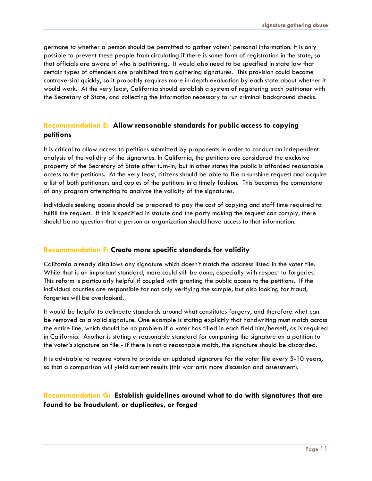germane to whether a person should be permitted to gather voters' personal information. It is only possible to prevent these people from circulating if there is some form of registration in the state, so that officials are aware of who is petitioning. It would also need to be specified in state law that certain types of offenders are prohibited from gathering signatures. This provision could become controversial quickly, so it probably requires more in-depth evaluation by each state about whether it would work. At the very least, California should establish a system of registering each petitioner with the Secretary of State, and collecting the information necessary to run criminal background checks.

#### **Recommendation E: Allow reasonable standards for public access to copying petitions**

It is critical to allow access to petitions submitted by proponents in order to conduct an independent analysis of the validity of the signatures. In California, the petitions are considered the exclusive property of the Secretary of State after turn-in; but in other states the public is afforded reasonable access to the petitions. At the very least, citizens should be able to file a sunshine request and acquire a list of both petitioners and copies of the petitions in a timely fashion. This becomes the cornerstone of any program attempting to analyze the validity of the signatures.

Individuals seeking access should be prepared to pay the cost of copying and staff time required to fulfill the request. If this is specified in statute and the party making the request can comply, there should be no question that a person or organization should have access to that information.

#### **Recommendation F: Create more specific standards for validity**

California already disallows any signature which doesn't match the address listed in the voter file. While that is an important standard, more could still be done, especially with respect to forgeries. This reform is particularly helpful if coupled with granting the public access to the petitions. If the individual counties are responsible for not only verifying the sample, but also looking for fraud, forgeries will be overlooked.

It would be helpful to delineate standards around what constitutes forgery, and therefore what can be removed as a valid signature. One example is stating explicitly that handwriting must match across the entire line, which should be no problem if a voter has filled in each field him/herself, as is required in California. Another is stating a reasonable standard for comparing the signature on a petition to the voter's signature on file - if there is not a reasonable match, the signature should be discarded.

It is advisable to require voters to provide an updated signature for the voter file every 5-10 years, so that a comparison will yield current results (this warrants more discussion and assessment).

#### **Recommendation G: Establish guidelines around what to do with signatures that are found to be fraudulent, or duplicates, or forged**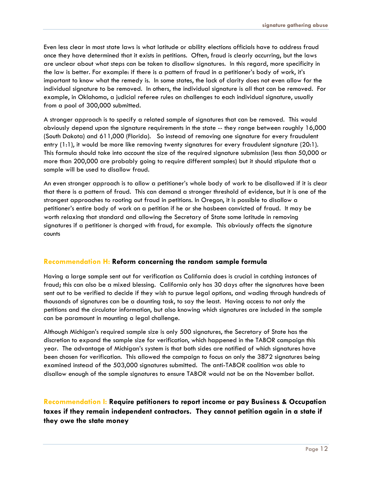Even less clear in most state laws is what latitude or ability elections officials have to address fraud once they have determined that it exists in petitions. Often, fraud is clearly occurring, but the laws are unclear about what steps can be taken to disallow signatures. In this regard, more specificity in the law is better. For example: if there is a pattern of fraud in a petitioner's body of work, it's important to know what the remedy is. In some states, the lack of clarity does not even allow for the individual signature to be removed. In others, the individual signature is all that can be removed. For example, in Oklahoma, a judicial referee rules on challenges to each individual signature, usually from a pool of 300,000 submitted.

A stronger approach is to specify a related sample of signatures that can be removed. This would obviously depend upon the signature requirements in the state -- they range between roughly 16,000 (South Dakota) and 611,000 (Florida). So instead of removing one signature for every fraudulent entry (1:1), it would be more like removing twenty signatures for every fraudulent signature (20:1). This formula should take into account the size of the required signature submission (less than 50,000 or more than 200,000 are probably going to require different samples) but it should stipulate that a sample will be used to disallow fraud.

An even stronger approach is to allow a petitioner's whole body of work to be disallowed if it is clear that there is a pattern of fraud. This can demand a stronger threshold of evidence, but it is one of the strongest approaches to rooting out fraud in petitions. In Oregon, it is possible to disallow a petitioner's entire body of work on a petition if he or she hasbeen convicted of fraud. It may be worth relaxing that standard and allowing the Secretary of State some latitude in removing signatures if a petitioner is charged with fraud, for example. This obviously affects the signature counts

#### **Recommendation H: Reform concerning the random sample formula**

Having a large sample sent out for verification as California does is crucial in catching instances of fraud; this can also be a mixed blessing. California only has 30 days after the signatures have been sent out to be verified to decide if they wish to pursue legal options, and wading through hundreds of thousands of signatures can be a daunting task, to say the least. Having access to not only the petitions and the circulator information, but also knowing which signatures are included in the sample can be paramount in mounting a legal challenge.

Although Michigan's required sample size is only 500 signatures, the Secretary of State has the discretion to expand the sample size for verification, which happened in the TABOR campaign this year. The advantage of Michigan's system is that both sides are notified of which signatures have been chosen for verification. This allowed the campaign to focus on only the 3872 signatures being examined instead of the 503,000 signatures submitted. The anti-TABOR coalition was able to disallow enough of the sample signatures to ensure TABOR would not be on the November ballot.

**Recommendation I: Require petitioners to report income or pay Business & Occupation taxes if they remain independent contractors. They cannot petition again in a state if they owe the state money**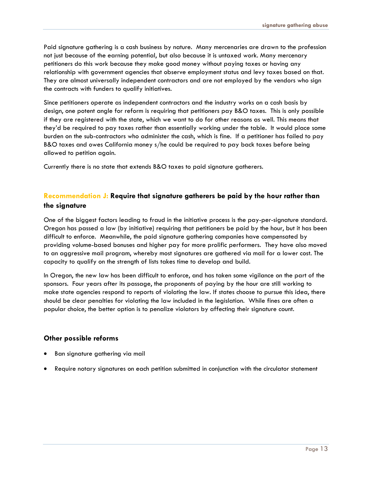Paid signature gathering is a cash business by nature. Many mercenaries are drawn to the profession not just because of the earning potential, but also because it is untaxed work. Many mercenary petitioners do this work because they make good money without paying taxes or having any relationship with government agencies that observe employment status and levy taxes based on that. They are almost universally independent contractors and are not employed by the vendors who sign the contracts with funders to qualify initiatives.

Since petitioners operate as independent contractors and the industry works on a cash basis by design, one potent angle for reform is requiring that petitioners pay B&O taxes. This is only possible if they are registered with the state, which we want to do for other reasons as well. This means that they'd be required to pay taxes rather than essentially working under the table. It would place some burden on the sub-contractors who administer the cash, which is fine. If a petitioner has failed to pay B&O taxes and owes California money s/he could be required to pay back taxes before being allowed to petition again.

Currently there is no state that extends B&O taxes to paid signature gatherers.

#### **Recommendation J: Require that signature gatherers be paid by the hour rather than the signature**

One of the biggest factors leading to fraud in the initiative process is the pay-per-signature standard. Oregon has passed a law (by initiative) requiring that petitioners be paid by the hour, but it has been difficult to enforce. Meanwhile, the paid signature gathering companies have compensated by providing volume-based bonuses and higher pay for more prolific performers. They have also moved to an aggressive mail program, whereby most signatures are gathered via mail for a lower cost. The capacity to qualify on the strength of lists takes time to develop and build.

In Oregon, the new law has been difficult to enforce, and has taken some vigilance on the part of the sponsors. Four years after its passage, the proponents of paying by the hour are still working to make state agencies respond to reports of violating the law. If states choose to pursue this idea, there should be clear penalties for violating the law included in the legislation. While fines are often a popular choice, the better option is to penalize violators by affecting their signature count.

#### **Other possible reforms**

- Ban signature gathering via mail
- Require notary signatures on each petition submitted in conjunction with the circulator statement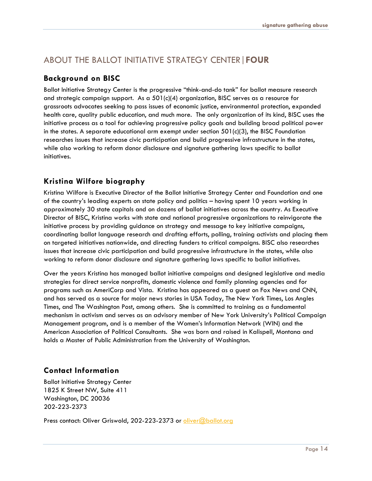## ABOUT THE BALLOT INITIATIVE STRATEGY CENTER|**FOUR**

#### **Background on BISC**

Ballot Initiative Strategy Center is the progressive "think-and-do tank" for ballot measure research and strategic campaign support. As a 501(c)(4) organization, BISC serves as a resource for grassroots advocates seeking to pass issues of economic justice, environmental protection, expanded health care, quality public education, and much more. The only organization of its kind, BISC uses the initiative process as a tool for achieving progressive policy goals and building broad political power in the states. A separate educational arm exempt under section  $501(c)(3)$ , the BISC Foundation researches issues that increase civic participation and build progressive infrastructure in the states, while also working to reform donor disclosure and signature gathering laws specific to ballot initiatives.

#### **Kristina Wilfore biography**

Kristina Wilfore is Executive Director of the Ballot Initiative Strategy Center and Foundation and one of the country's leading experts on state policy and politics – having spent 10 years working in approximately 30 state capitals and on dozens of ballot initiatives across the country. As Executive Director of BISC, Kristina works with state and national progressive organizations to reinvigorate the initiative process by providing guidance on strategy and message to key initiative campaigns, coordinating ballot language research and drafting efforts, polling, training activists and placing them on targeted initiatives nationwide, and directing funders to critical campaigns. BISC also researches issues that increase civic participation and build progressive infrastructure in the states, while also working to reform donor disclosure and signature gathering laws specific to ballot initiatives.

Over the years Kristina has managed ballot initiative campaigns and designed legislative and media strategies for direct service nonprofits, domestic violence and family planning agencies and for programs such as AmeriCorp and Vista. Kristina has appeared as a guest on Fox News and CNN, and has served as a source for major news stories in USA Today, The New York Times, Los Angles Times, and The Washington Post, among others. She is committed to training as a fundamental mechanism in activism and serves as an advisory member of New York University's Political Campaign Management program, and is a member of the Women's Information Network (WIN) and the American Association of Political Consultants. She was born and raised in Kalispell, Montana and holds a Master of Public Administration from the University of Washington.

#### **Contact Information**

Ballot Initiative Strategy Center 1825 K Street NW, Suite 411 Washington, DC 20036 202-223-2373

Press contact: Oliver Griswold, 202-223-2373 or oliver@ballot.org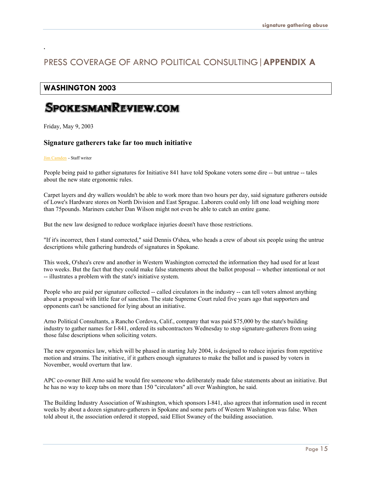### PRESS COVERAGE OF ARNO POLITICAL CONSULTING|**APPENDIX A**

#### **WASHINGTON 2003**

## SPOKESMANREVIEW.COM

Friday, May 9, 2003

.

#### **Signature gatherers take far too much initiative**

#### Jim [Camden](http://www.spokesmanreview.com/covers/people/staff.asp?ID=bio41) - Staff writer

People being paid to gather signatures for Initiative 841 have told Spokane voters some dire -- but untrue -- tales about the new state ergonomic rules.

Carpet layers and dry wallers wouldn't be able to work more than two hours per day, said signature gatherers outside of Lowe's Hardware stores on North Division and East Sprague. Laborers could only lift one load weighing more than 75pounds. Mariners catcher Dan Wilson might not even be able to catch an entire game.

But the new law designed to reduce workplace injuries doesn't have those restrictions.

"If it's incorrect, then I stand corrected," said Dennis O'shea, who heads a crew of about six people using the untrue descriptions while gathering hundreds of signatures in Spokane.

This week, O'shea's crew and another in Western Washington corrected the information they had used for at least two weeks. But the fact that they could make false statements about the ballot proposal -- whether intentional or not -- illustrates a problem with the state's initiative system.

People who are paid per signature collected -- called circulators in the industry -- can tell voters almost anything about a proposal with little fear of sanction. The state Supreme Court ruled five years ago that supporters and opponents can't be sanctioned for lying about an initiative.

Arno Political Consultants, a Rancho Cordova, Calif., company that was paid \$75,000 by the state's building industry to gather names for I-841, ordered its subcontractors Wednesday to stop signature-gatherers from using those false descriptions when soliciting voters.

The new ergonomics law, which will be phased in starting July 2004, is designed to reduce injuries from repetitive motion and strains. The initiative, if it gathers enough signatures to make the ballot and is passed by voters in November, would overturn that law.

APC co-owner Bill Arno said he would fire someone who deliberately made false statements about an initiative. But he has no way to keep tabs on more than 150 "circulators" all over Washington, he said.

The Building Industry Association of Washington, which sponsors I-841, also agrees that information used in recent weeks by about a dozen signature-gatherers in Spokane and some parts of Western Washington was false. When told about it, the association ordered it stopped, said Elliot Swaney of the building association.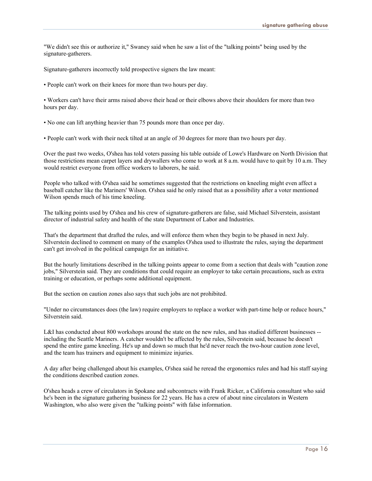"We didn't see this or authorize it," Swaney said when he saw a list of the "talking points" being used by the signature-gatherers.

Signature-gatherers incorrectly told prospective signers the law meant:

• People can't work on their knees for more than two hours per day.

• Workers can't have their arms raised above their head or their elbows above their shoulders for more than two hours per day.

- No one can lift anything heavier than 75 pounds more than once per day.
- People can't work with their neck tilted at an angle of 30 degrees for more than two hours per day.

Over the past two weeks, O'shea has told voters passing his table outside of Lowe's Hardware on North Division that those restrictions mean carpet layers and drywallers who come to work at 8 a.m. would have to quit by 10 a.m. They would restrict everyone from office workers to laborers, he said.

People who talked with O'shea said he sometimes suggested that the restrictions on kneeling might even affect a baseball catcher like the Mariners' Wilson. O'shea said he only raised that as a possibility after a voter mentioned Wilson spends much of his time kneeling.

The talking points used by O'shea and his crew of signature-gatherers are false, said Michael Silverstein, assistant director of industrial safety and health of the state Department of Labor and Industries.

That's the department that drafted the rules, and will enforce them when they begin to be phased in next July. Silverstein declined to comment on many of the examples O'shea used to illustrate the rules, saying the department can't get involved in the political campaign for an initiative.

But the hourly limitations described in the talking points appear to come from a section that deals with "caution zone jobs," Silverstein said. They are conditions that could require an employer to take certain precautions, such as extra training or education, or perhaps some additional equipment.

But the section on caution zones also says that such jobs are not prohibited.

"Under no circumstances does (the law) require employers to replace a worker with part-time help or reduce hours," Silverstein said.

L&I has conducted about 800 workshops around the state on the new rules, and has studied different businesses -including the Seattle Mariners. A catcher wouldn't be affected by the rules, Silverstein said, because he doesn't spend the entire game kneeling. He's up and down so much that he'd never reach the two-hour caution zone level, and the team has trainers and equipment to minimize injuries.

A day after being challenged about his examples, O'shea said he reread the ergonomics rules and had his staff saying the conditions described caution zones.

O'shea heads a crew of circulators in Spokane and subcontracts with Frank Ricker, a California consultant who said he's been in the signature gathering business for 22 years. He has a crew of about nine circulators in Western Washington, who also were given the "talking points" with false information.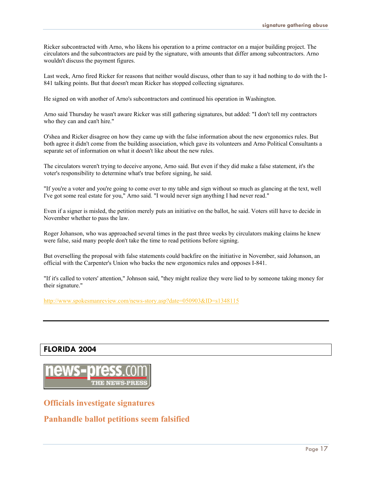Ricker subcontracted with Arno, who likens his operation to a prime contractor on a major building project. The circulators and the subcontractors are paid by the signature, with amounts that differ among subcontractors. Arno wouldn't discuss the payment figures.

Last week, Arno fired Ricker for reasons that neither would discuss, other than to say it had nothing to do with the I-841 talking points. But that doesn't mean Ricker has stopped collecting signatures.

He signed on with another of Arno's subcontractors and continued his operation in Washington.

Arno said Thursday he wasn't aware Ricker was still gathering signatures, but added: "I don't tell my contractors who they can and can't hire."

O'shea and Ricker disagree on how they came up with the false information about the new ergonomics rules. But both agree it didn't come from the building association, which gave its volunteers and Arno Political Consultants a separate set of information on what it doesn't like about the new rules.

The circulators weren't trying to deceive anyone, Arno said. But even if they did make a false statement, it's the voter's responsibility to determine what's true before signing, he said.

"If you're a voter and you're going to come over to my table and sign without so much as glancing at the text, well I've got some real estate for you," Arno said. "I would never sign anything I had never read."

Even if a signer is misled, the petition merely puts an initiative on the ballot, he said. Voters still have to decide in November whether to pass the law.

Roger Johanson, who was approached several times in the past three weeks by circulators making claims he knew were false, said many people don't take the time to read petitions before signing.

But overselling the proposal with false statements could backfire on the initiative in November, said Johanson, an official with the Carpenter's Union who backs the new ergonomics rules and opposes I-841.

"If it's called to voters' attention," Johnson said, "they might realize they were lied to by someone taking money for their signature."

<http://www.spokesmanreview.com/news-story.asp?date=050903&ID=s1348115>

#### **FLORIDA 2004**



**Officials investigate signatures**

**Panhandle ballot petitions seem falsified**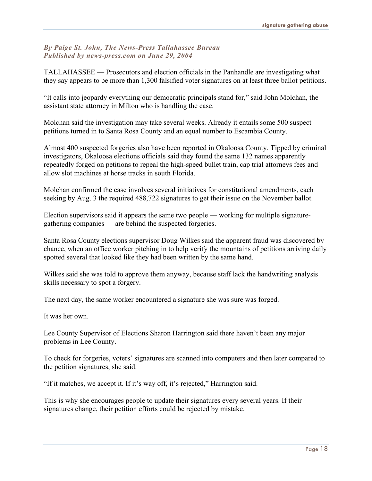#### *By Paige St. John, The News-Press Tallahassee Bureau Published by news-press.com on June 29, 2004*

TALLAHASSEE — Prosecutors and election officials in the Panhandle are investigating what they say appears to be more than 1,300 falsified voter signatures on at least three ballot petitions.

"It calls into jeopardy everything our democratic principals stand for," said John Molchan, the assistant state attorney in Milton who is handling the case.

Molchan said the investigation may take several weeks. Already it entails some 500 suspect petitions turned in to Santa Rosa County and an equal number to Escambia County.

Almost 400 suspected forgeries also have been reported in Okaloosa County. Tipped by criminal investigators, Okaloosa elections officials said they found the same 132 names apparently repeatedly forged on petitions to repeal the high-speed bullet train, cap trial attorneys fees and allow slot machines at horse tracks in south Florida.

Molchan confirmed the case involves several initiatives for constitutional amendments, each seeking by Aug. 3 the required 488,722 signatures to get their issue on the November ballot.

Election supervisors said it appears the same two people — working for multiple signaturegathering companies — are behind the suspected forgeries.

Santa Rosa County elections supervisor Doug Wilkes said the apparent fraud was discovered by chance, when an office worker pitching in to help verify the mountains of petitions arriving daily spotted several that looked like they had been written by the same hand.

Wilkes said she was told to approve them anyway, because staff lack the handwriting analysis skills necessary to spot a forgery.

The next day, the same worker encountered a signature she was sure was forged.

It was her own.

Lee County Supervisor of Elections Sharon Harrington said there haven't been any major problems in Lee County.

To check for forgeries, voters' signatures are scanned into computers and then later compared to the petition signatures, she said.

"If it matches, we accept it. If it's way off, it's rejected," Harrington said.

This is why she encourages people to update their signatures every several years. If their signatures change, their petition efforts could be rejected by mistake.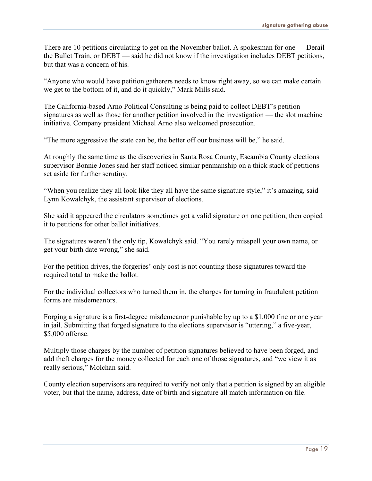There are 10 petitions circulating to get on the November ballot. A spokesman for one — Derail the Bullet Train, or DEBT — said he did not know if the investigation includes DEBT petitions, but that was a concern of his.

"Anyone who would have petition gatherers needs to know right away, so we can make certain we get to the bottom of it, and do it quickly," Mark Mills said.

The California-based Arno Political Consulting is being paid to collect DEBT's petition signatures as well as those for another petition involved in the investigation — the slot machine initiative. Company president Michael Arno also welcomed prosecution.

"The more aggressive the state can be, the better off our business will be," he said.

At roughly the same time as the discoveries in Santa Rosa County, Escambia County elections supervisor Bonnie Jones said her staff noticed similar penmanship on a thick stack of petitions set aside for further scrutiny.

"When you realize they all look like they all have the same signature style," it's amazing, said Lynn Kowalchyk, the assistant supervisor of elections.

She said it appeared the circulators sometimes got a valid signature on one petition, then copied it to petitions for other ballot initiatives.

The signatures weren't the only tip, Kowalchyk said. "You rarely misspell your own name, or get your birth date wrong," she said.

For the petition drives, the forgeries' only cost is not counting those signatures toward the required total to make the ballot.

For the individual collectors who turned them in, the charges for turning in fraudulent petition forms are misdemeanors.

Forging a signature is a first-degree misdemeanor punishable by up to a \$1,000 fine or one year in jail. Submitting that forged signature to the elections supervisor is "uttering," a five-year, \$5,000 offense.

Multiply those charges by the number of petition signatures believed to have been forged, and add theft charges for the money collected for each one of those signatures, and "we view it as really serious," Molchan said.

County election supervisors are required to verify not only that a petition is signed by an eligible voter, but that the name, address, date of birth and signature all match information on file.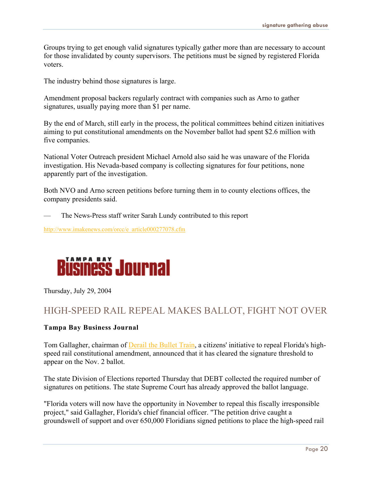Groups trying to get enough valid signatures typically gather more than are necessary to account for those invalidated by county supervisors. The petitions must be signed by registered Florida voters.

The industry behind those signatures is large.

Amendment proposal backers regularly contract with companies such as Arno to gather signatures, usually paying more than \$1 per name.

By the end of March, still early in the process, the political committees behind citizen initiatives aiming to put constitutional amendments on the November ballot had spent \$2.6 million with five companies.

National Voter Outreach president Michael Arnold also said he was unaware of the Florida investigation. His Nevada-based company is collecting signatures for four petitions, none apparently part of the investigation.

Both NVO and Arno screen petitions before turning them in to county elections offices, the company presidents said.

— The News-Press staff writer Sarah Lundy contributed to this report

[http://www.imakenews.com/orcc/e\\_article000277078.cfm](http://www.imakenews.com/orcc/e_article000277078.cfm)



Thursday, July 29, 2004

### HIGH-SPEED RAIL REPEAL MAKES BALLOT, FIGHT NOT OVER

#### **Tampa Bay Business Journal**

Tom Gallagher, chairman of [Derail the Bullet Train,](http://www.bizjournals.com/search/results.html?Ntk=All&Ntx=mode%20matchallpartial&Ntt=%22Derail%20the%20Bullet%20Train%22) a citizens' initiative to repeal Florida's highspeed rail constitutional amendment, announced that it has cleared the signature threshold to appear on the Nov. 2 ballot.

The state Division of Elections reported Thursday that DEBT collected the required number of signatures on petitions. The state Supreme Court has already approved the ballot language.

"Florida voters will now have the opportunity in November to repeal this fiscally irresponsible project," said Gallagher, Florida's chief financial officer. "The petition drive caught a groundswell of support and over 650,000 Floridians signed petitions to place the high-speed rail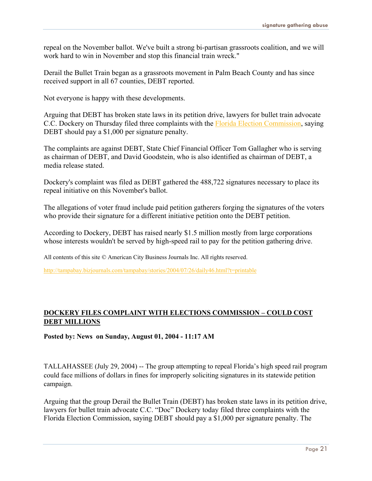repeal on the November ballot. We've built a strong bi-partisan grassroots coalition, and we will work hard to win in November and stop this financial train wreck."

Derail the Bullet Train began as a grassroots movement in Palm Beach County and has since received support in all 67 counties, DEBT reported.

Not everyone is happy with these developments.

Arguing that DEBT has broken state laws in its petition drive, lawyers for bullet train advocate C.C. Dockery on Thursday filed three complaints with the [Florida Election Commission,](http://www.bizjournals.com/search/results.html?Ntk=All&Ntx=mode%20matchallpartial&Ntt=%22Florida%20Election%20Commission%22) saying DEBT should pay a \$1,000 per signature penalty.

The complaints are against DEBT, State Chief Financial Officer Tom Gallagher who is serving as chairman of DEBT, and David Goodstein, who is also identified as chairman of DEBT, a media release stated.

Dockery's complaint was filed as DEBT gathered the 488,722 signatures necessary to place its repeal initiative on this November's ballot.

The allegations of voter fraud include paid petition gatherers forging the signatures of the voters who provide their signature for a different initiative petition onto the DEBT petition.

According to Dockery, DEBT has raised nearly \$1.5 million mostly from large corporations whose interests wouldn't be served by high-speed rail to pay for the petition gathering drive.

All contents of this site © American City Business Journals Inc. All rights reserved.

<http://tampabay.bizjournals.com/tampabay/stories/2004/07/26/daily46.html?t=printable>

#### **DOCKERY [FILES COMPLAINT WITH ELECTIONS COMMISSION – COULD](http://www.floridabullettrain.org/modules.php?op=modload&name=News&file=article&sid=95&mode=thread&order=0&thold=0&POSTNUKESID=1b36bbe8c4c82087f0c1701ac45c85f4) COST [DEBT MILLIONS](http://www.floridabullettrain.org/modules.php?op=modload&name=News&file=article&sid=95&mode=thread&order=0&thold=0&POSTNUKESID=1b36bbe8c4c82087f0c1701ac45c85f4)**

**Posted by: News on Sunday, August 01, 2004 - 11:17 AM**

TALLAHASSEE (July 29, 2004) -- The group attempting to repeal Florida's high speed rail program could face millions of dollars in fines for improperly soliciting signatures in its statewide petition campaign.

Arguing that the group Derail the Bullet Train (DEBT) has broken state laws in its petition drive, lawyers for bullet train advocate C.C. "Doc" Dockery today filed three complaints with the Florida Election Commission, saying DEBT should pay a \$1,000 per signature penalty. The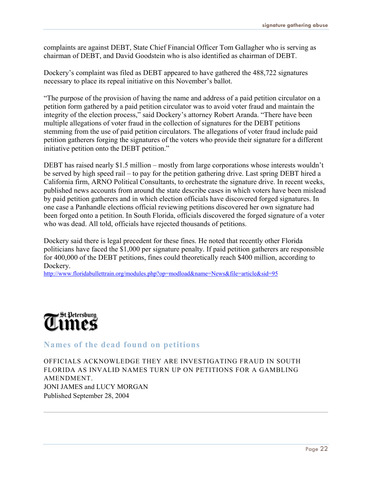complaints are against DEBT, State Chief Financial Officer Tom Gallagher who is serving as chairman of DEBT, and David Goodstein who is also identified as chairman of DEBT.

Dockery's complaint was filed as DEBT appeared to have gathered the 488,722 signatures necessary to place its repeal initiative on this November's ballot.

"The purpose of the provision of having the name and address of a paid petition circulator on a petition form gathered by a paid petition circulator was to avoid voter fraud and maintain the integrity of the election process," said Dockery's attorney Robert Aranda. "There have been multiple allegations of voter fraud in the collection of signatures for the DEBT petitions stemming from the use of paid petition circulators. The allegations of voter fraud include paid petition gatherers forging the signatures of the voters who provide their signature for a different initiative petition onto the DEBT petition."

DEBT has raised nearly \$1.5 million – mostly from large corporations whose interests wouldn't be served by high speed rail – to pay for the petition gathering drive. Last spring DEBT hired a California firm, ARNO Political Consultants, to orchestrate the signature drive. In recent weeks, published news accounts from around the state describe cases in which voters have been mislead by paid petition gatherers and in which election officials have discovered forged signatures. In one case a Panhandle elections official reviewing petitions discovered her own signature had been forged onto a petition. In South Florida, officials discovered the forged signature of a voter who was dead. All told, officials have rejected thousands of petitions.

Dockery said there is legal precedent for these fines. He noted that recently other Florida politicians have faced the \$1,000 per signature penalty. If paid petition gatherers are responsible for 400,000 of the DEBT petitions, fines could theoretically reach \$400 million, according to Dockery.

http://www.floridabullettrain.org/modules.php?op=modload&name=News&file=article&sid=95



**Names of the dead found on petitions**

OFFICIALS ACKNOWLEDGE THEY ARE INVESTIGATING FRAUD IN SOUTH FLORIDA AS INVALID NAMES TURN UP ON PETITIONS FOR A GAMBLING AMENDMENT. JONI JAMES and LUCY MORGAN Published September 28, 2004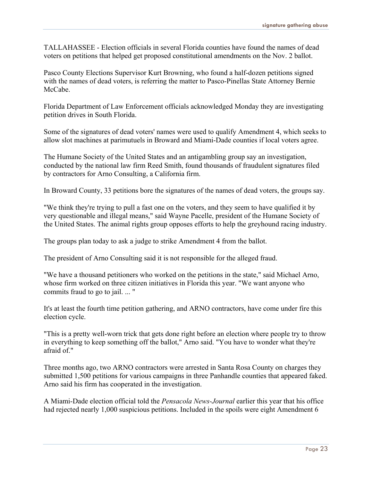TALLAHASSEE - Election officials in several Florida counties have found the names of dead voters on petitions that helped get proposed constitutional amendments on the Nov. 2 ballot.

Pasco County Elections Supervisor Kurt Browning, who found a half-dozen petitions signed with the names of dead voters, is referring the matter to Pasco-Pinellas State Attorney Bernie McCabe.

Florida Department of Law Enforcement officials acknowledged Monday they are investigating petition drives in South Florida.

Some of the signatures of dead voters' names were used to qualify Amendment 4, which seeks to allow slot machines at parimutuels in Broward and Miami-Dade counties if local voters agree.

The Humane Society of the United States and an antigambling group say an investigation, conducted by the national law firm Reed Smith, found thousands of fraudulent signatures filed by contractors for Arno Consulting, a California firm.

In Broward County, 33 petitions bore the signatures of the names of dead voters, the groups say.

"We think they're trying to pull a fast one on the voters, and they seem to have qualified it by very questionable and illegal means," said Wayne Pacelle, president of the Humane Society of the United States. The animal rights group opposes efforts to help the greyhound racing industry.

The groups plan today to ask a judge to strike Amendment 4 from the ballot.

The president of Arno Consulting said it is not responsible for the alleged fraud.

"We have a thousand petitioners who worked on the petitions in the state," said Michael Arno, whose firm worked on three citizen initiatives in Florida this year. "We want anyone who commits fraud to go to jail. ... "

It's at least the fourth time petition gathering, and ARNO contractors, have come under fire this election cycle.

"This is a pretty well-worn trick that gets done right before an election where people try to throw in everything to keep something off the ballot," Arno said. "You have to wonder what they're afraid of."

Three months ago, two ARNO contractors were arrested in Santa Rosa County on charges they submitted 1,500 petitions for various campaigns in three Panhandle counties that appeared faked. Arno said his firm has cooperated in the investigation.

A Miami-Dade election official told the *Pensacola News-Journal* earlier this year that his office had rejected nearly 1,000 suspicious petitions. Included in the spoils were eight Amendment 6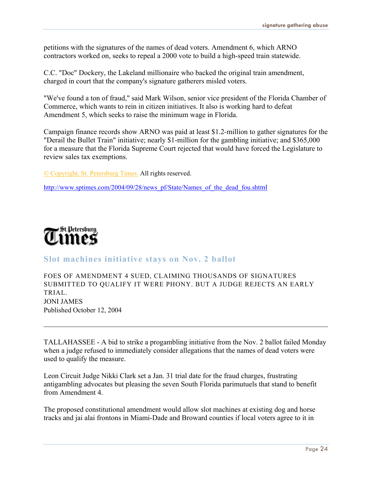petitions with the signatures of the names of dead voters. Amendment 6, which ARNO contractors worked on, seeks to repeal a 2000 vote to build a high-speed train statewide.

C.C. "Doc" Dockery, the Lakeland millionaire who backed the original train amendment, charged in court that the company's signature gatherers misled voters.

"We've found a ton of fraud," said Mark Wilson, senior vice president of the Florida Chamber of Commerce, which wants to rein in citizen initiatives. It also is working hard to defeat Amendment 5, which seeks to raise the minimum wage in Florida.

Campaign finance records show ARNO was paid at least \$1.2-million to gather signatures for the "Derail the Bullet Train" initiative; nearly \$1-million for the gambling initiative; and \$365,000 for a measure that the Florida Supreme Court rejected that would have forced the Legislature to review sales tax exemptions.

© [Copyright,](http://www.sptimes.com/tpc/TC.Copyright.html) St. Petersburg Times. All rights reserved.

http://www.sptimes.com/2004/09/28/news\_pf/State/Names\_of\_the\_dead\_fou.shtml



#### **Slot machines initiative stays on Nov. 2 ballot**

FOES OF AMENDMENT 4 SUED, CLAIMING THOUSANDS OF SIGNATURES SUBMITTED TO QUALIFY IT WERE PHONY. BUT A JUDGE REJECTS AN EARLY TRIAL. JONI JAMES Published October 12, 2004

TALLAHASSEE - A bid to strike a progambling initiative from the Nov. 2 ballot failed Monday when a judge refused to immediately consider allegations that the names of dead voters were used to qualify the measure.

Leon Circuit Judge Nikki Clark set a Jan. 31 trial date for the fraud charges, frustrating antigambling advocates but pleasing the seven South Florida parimutuels that stand to benefit from Amendment 4.

The proposed constitutional amendment would allow slot machines at existing dog and horse tracks and jai alai frontons in Miami-Dade and Broward counties if local voters agree to it in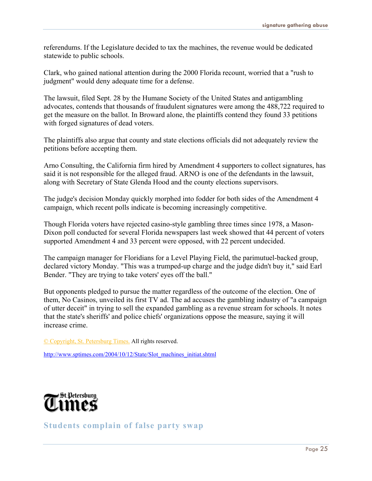referendums. If the Legislature decided to tax the machines, the revenue would be dedicated statewide to public schools.

Clark, who gained national attention during the 2000 Florida recount, worried that a "rush to judgment" would deny adequate time for a defense.

The lawsuit, filed Sept. 28 by the Humane Society of the United States and antigambling advocates, contends that thousands of fraudulent signatures were among the 488,722 required to get the measure on the ballot. In Broward alone, the plaintiffs contend they found 33 petitions with forged signatures of dead voters.

The plaintiffs also argue that county and state elections officials did not adequately review the petitions before accepting them.

Arno Consulting, the California firm hired by Amendment 4 supporters to collect signatures, has said it is not responsible for the alleged fraud. ARNO is one of the defendants in the lawsuit, along with Secretary of State Glenda Hood and the county elections supervisors.

The judge's decision Monday quickly morphed into fodder for both sides of the Amendment 4 campaign, which recent polls indicate is becoming increasingly competitive.

Though Florida voters have rejected casino-style gambling three times since 1978, a Mason-Dixon poll conducted for several Florida newspapers last week showed that 44 percent of voters supported Amendment 4 and 33 percent were opposed, with 22 percent undecided.

The campaign manager for Floridians for a Level Playing Field, the parimutuel-backed group, declared victory Monday. "This was a trumped-up charge and the judge didn't buy it," said Earl Bender. "They are trying to take voters' eyes off the ball."

But opponents pledged to pursue the matter regardless of the outcome of the election. One of them, No Casinos, unveiled its first TV ad. The ad accuses the gambling industry of "a campaign of utter deceit" in trying to sell the expanded gambling as a revenue stream for schools. It notes that the state's sheriffs' and police chiefs' organizations oppose the measure, saying it will increase crime.

[© Copyright, St. Petersburg Times.](http://www.sptimes.com/tpc/TC.Copyright.html) All rights reserved.

http://www.sptimes.com/2004/10/12/State/Slot\_machines\_initiat.shtml



**Students complain of false party swap**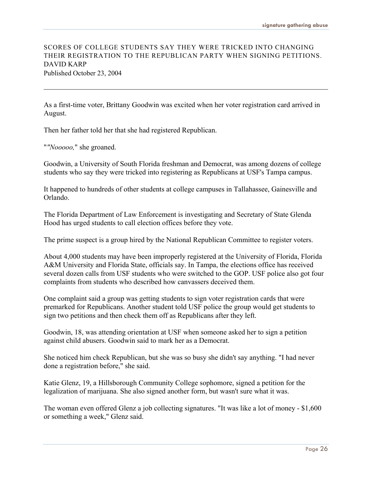#### SCORES OF COLLEGE STUDENTS SAY THEY WERE TRICKED INTO CHANGING THEIR REGISTRATION TO THE REPUBLICAN PARTY WHEN SIGNING PETITIONS. DAVID KARP Published October 23, 2004

As a first-time voter, Brittany Goodwin was excited when her voter registration card arrived in August.

Then her father told her that she had registered Republican.

"*"Nooooo,*" she groaned.

Goodwin, a University of South Florida freshman and Democrat, was among dozens of college students who say they were tricked into registering as Republicans at USF's Tampa campus.

It happened to hundreds of other students at college campuses in Tallahassee, Gainesville and Orlando.

The Florida Department of Law Enforcement is investigating and Secretary of State Glenda Hood has urged students to call election offices before they vote.

The prime suspect is a group hired by the National Republican Committee to register voters.

About 4,000 students may have been improperly registered at the University of Florida, Florida A&M University and Florida State, officials say. In Tampa, the elections office has received several dozen calls from USF students who were switched to the GOP. USF police also got four complaints from students who described how canvassers deceived them.

One complaint said a group was getting students to sign voter registration cards that were premarked for Republicans. Another student told USF police the group would get students to sign two petitions and then check them off as Republicans after they left.

Goodwin, 18, was attending orientation at USF when someone asked her to sign a petition against child abusers. Goodwin said to mark her as a Democrat.

She noticed him check Republican, but she was so busy she didn't say anything. "I had never done a registration before," she said.

Katie Glenz, 19, a Hillsborough Community College sophomore, signed a petition for the legalization of marijuana. She also signed another form, but wasn't sure what it was.

The woman even offered Glenz a job collecting signatures. "It was like a lot of money - \$1,600 or something a week," Glenz said.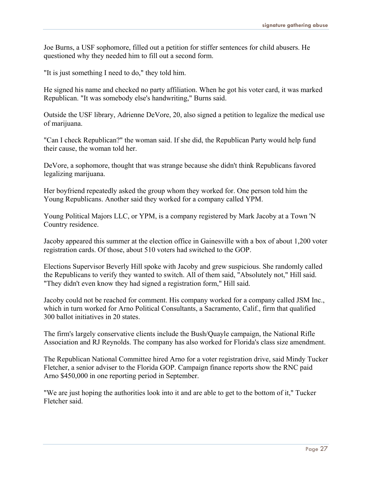Joe Burns, a USF sophomore, filled out a petition for stiffer sentences for child abusers. He questioned why they needed him to fill out a second form.

"It is just something I need to do," they told him.

He signed his name and checked no party affiliation. When he got his voter card, it was marked Republican. "It was somebody else's handwriting," Burns said.

Outside the USF library, Adrienne DeVore, 20, also signed a petition to legalize the medical use of marijuana.

"Can I check Republican?" the woman said. If she did, the Republican Party would help fund their cause, the woman told her.

DeVore, a sophomore, thought that was strange because she didn't think Republicans favored legalizing marijuana.

Her boyfriend repeatedly asked the group whom they worked for. One person told him the Young Republicans. Another said they worked for a company called YPM.

Young Political Majors LLC, or YPM, is a company registered by Mark Jacoby at a Town 'N Country residence.

Jacoby appeared this summer at the election office in Gainesville with a box of about 1,200 voter registration cards. Of those, about 510 voters had switched to the GOP.

Elections Supervisor Beverly Hill spoke with Jacoby and grew suspicious. She randomly called the Republicans to verify they wanted to switch. All of them said, "Absolutely not," Hill said. "They didn't even know they had signed a registration form," Hill said.

Jacoby could not be reached for comment. His company worked for a company called JSM Inc., which in turn worked for Arno Political Consultants, a Sacramento, Calif., firm that qualified 300 ballot initiatives in 20 states.

The firm's largely conservative clients include the Bush/Quayle campaign, the National Rifle Association and RJ Reynolds. The company has also worked for Florida's class size amendment.

The Republican National Committee hired Arno for a voter registration drive, said Mindy Tucker Fletcher, a senior adviser to the Florida GOP. Campaign finance reports show the RNC paid Arno \$450,000 in one reporting period in September.

"We are just hoping the authorities look into it and are able to get to the bottom of it," Tucker Fletcher said.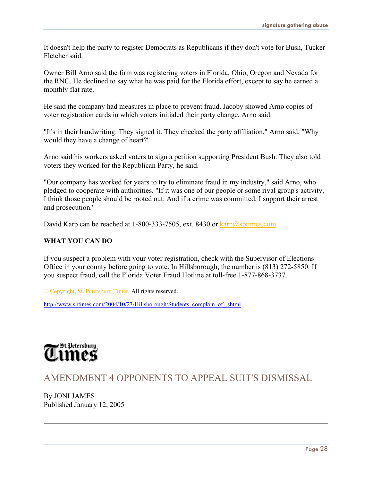It doesn't help the party to register Democrats as Republicans if they don't vote for Bush, Tucker Fletcher said.

Owner Bill Arno said the firm was registering voters in Florida, Ohio, Oregon and Nevada for the RNC. He declined to say what he was paid for the Florida effort, except to say he earned a monthly flat rate.

He said the company had measures in place to prevent fraud. Jacoby showed Arno copies of voter registration cards in which voters initialed their party change, Arno said.

"It's in their handwriting. They signed it. They checked the party affiliation," Arno said. "Why would they have a change of heart?"

Arno said his workers asked voters to sign a petition supporting President Bush. They also told voters they worked for the Republican Party, he said.

"Our company has worked for years to try to eliminate fraud in my industry," said Arno, who pledged to cooperate with authorities. "If it was one of our people or some rival group's activity, I think those people should be rooted out. And if a crime was committed, I support their arrest and prosecution."

David Karp can be reached at 1-800-333-7505, ext. 8430 or karp@sptimes.com

#### **WHAT YOU CAN DO**

If you suspect a problem with your voter registration, check with the Supervisor of Elections Office in your county before going to vote. In Hillsborough, the number is (813) 272-5850. If you suspect fraud, call the Florida Voter Fraud Hotline at toll-free 1-877-868-3737.

[© Copyright, St. Petersburg Times.](http://www.sptimes.com/tpc/TC.Copyright.html) All rights reserved.

http://www.sptimes.com/2004/10/23/Hillsborough/Students\_complain\_of\_.shtml



AMENDMENT 4 OPPONENTS TO APPEAL SUIT'S DISMISSAL

By JONI JAMES Published January 12, 2005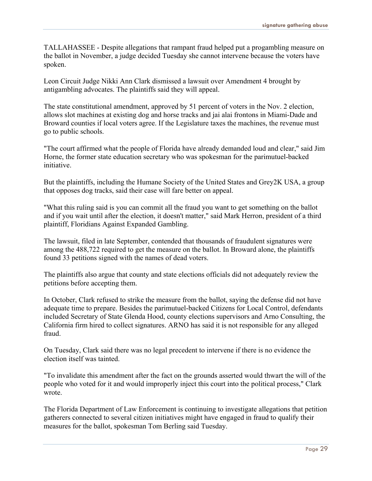TALLAHASSEE - Despite allegations that rampant fraud helped put a progambling measure on the ballot in November, a judge decided Tuesday she cannot intervene because the voters have spoken.

Leon Circuit Judge Nikki Ann Clark dismissed a lawsuit over Amendment 4 brought by antigambling advocates. The plaintiffs said they will appeal.

The state constitutional amendment, approved by 51 percent of voters in the Nov. 2 election, allows slot machines at existing dog and horse tracks and jai alai frontons in Miami-Dade and Broward counties if local voters agree. If the Legislature taxes the machines, the revenue must go to public schools.

"The court affirmed what the people of Florida have already demanded loud and clear," said Jim Horne, the former state education secretary who was spokesman for the parimutuel-backed initiative.

But the plaintiffs, including the Humane Society of the United States and Grey2K USA, a group that opposes dog tracks, said their case will fare better on appeal.

"What this ruling said is you can commit all the fraud you want to get something on the ballot and if you wait until after the election, it doesn't matter," said Mark Herron, president of a third plaintiff, Floridians Against Expanded Gambling.

The lawsuit, filed in late September, contended that thousands of fraudulent signatures were among the 488,722 required to get the measure on the ballot. In Broward alone, the plaintiffs found 33 petitions signed with the names of dead voters.

The plaintiffs also argue that county and state elections officials did not adequately review the petitions before accepting them.

In October, Clark refused to strike the measure from the ballot, saying the defense did not have adequate time to prepare. Besides the parimutuel-backed Citizens for Local Control, defendants included Secretary of State Glenda Hood, county elections supervisors and Arno Consulting, the California firm hired to collect signatures. ARNO has said it is not responsible for any alleged fraud.

On Tuesday, Clark said there was no legal precedent to intervene if there is no evidence the election itself was tainted.

"To invalidate this amendment after the fact on the grounds asserted would thwart the will of the people who voted for it and would improperly inject this court into the political process," Clark wrote.

The Florida Department of Law Enforcement is continuing to investigate allegations that petition gatherers connected to several citizen initiatives might have engaged in fraud to qualify their measures for the ballot, spokesman Tom Berling said Tuesday.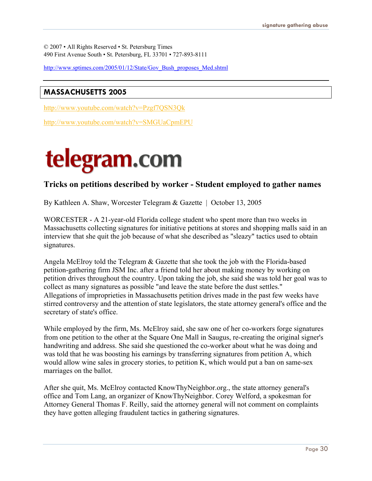© 2007 • All Rights Reserved • St. Petersburg Times 490 First Avenue South • St. Petersburg, FL 33701 • 727-893-8111

http://www.sptimes.com/2005/01/12/State/Gov\_Bush\_proposes\_Med.shtml

#### **MASSACHUSETTS 2005**

<http://www.youtube.com/watch?v=Pzgf7QSN3Qk>

<http://www.youtube.com/watch?v=SMGUaCpmEPU>

## telegram.com

#### **Tricks on petitions described by worker - Student employed to gather names**

By Kathleen A. Shaw, Worcester Telegram & Gazette | October 13, 2005

WORCESTER - A 21-year-old Florida college student who spent more than two weeks in Massachusetts collecting signatures for initiative petitions at stores and shopping malls said in an interview that she quit the job because of what she described as "sleazy" tactics used to obtain signatures.

Angela McElroy told the Telegram & Gazette that she took the job with the Florida-based petition-gathering firm JSM Inc. after a friend told her about making money by working on petition drives throughout the country. Upon taking the job, she said she was told her goal was to collect as many signatures as possible "and leave the state before the dust settles." Allegations of improprieties in Massachusetts petition drives made in the past few weeks have stirred controversy and the attention of state legislators, the state attorney general's office and the secretary of state's office.

While employed by the firm, Ms. McElroy said, she saw one of her co-workers forge signatures from one petition to the other at the Square One Mall in Saugus, re-creating the original signer's handwriting and address. She said she questioned the co-worker about what he was doing and was told that he was boosting his earnings by transferring signatures from petition A, which would allow wine sales in grocery stories, to petition K, which would put a ban on same-sex marriages on the ballot.

After she quit, Ms. McElroy contacted KnowThyNeighbor.org., the state attorney general's office and Tom Lang, an organizer of KnowThyNeighbor. Corey Welford, a spokesman for Attorney General Thomas F. Reilly, said the attorney general will not comment on complaints they have gotten alleging fraudulent tactics in gathering signatures.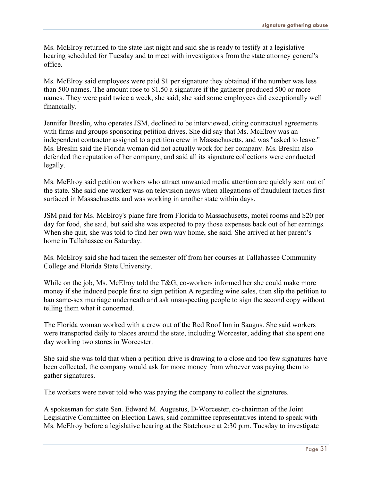Ms. McElroy returned to the state last night and said she is ready to testify at a legislative hearing scheduled for Tuesday and to meet with investigators from the state attorney general's office.

Ms. McElroy said employees were paid \$1 per signature they obtained if the number was less than 500 names. The amount rose to \$1.50 a signature if the gatherer produced 500 or more names. They were paid twice a week, she said; she said some employees did exceptionally well financially.

Jennifer Breslin, who operates JSM, declined to be interviewed, citing contractual agreements with firms and groups sponsoring petition drives. She did say that Ms. McElroy was an independent contractor assigned to a petition crew in Massachusetts, and was "asked to leave." Ms. Breslin said the Florida woman did not actually work for her company. Ms. Breslin also defended the reputation of her company, and said all its signature collections were conducted legally.

Ms. McElroy said petition workers who attract unwanted media attention are quickly sent out of the state. She said one worker was on television news when allegations of fraudulent tactics first surfaced in Massachusetts and was working in another state within days.

JSM paid for Ms. McElroy's plane fare from Florida to Massachusetts, motel rooms and \$20 per day for food, she said, but said she was expected to pay those expenses back out of her earnings. When she quit, she was told to find her own way home, she said. She arrived at her parent's home in Tallahassee on Saturday.

Ms. McElroy said she had taken the semester off from her courses at Tallahassee Community College and Florida State University.

While on the job, Ms. McElroy told the T&G, co-workers informed her she could make more money if she induced people first to sign petition A regarding wine sales, then slip the petition to ban same-sex marriage underneath and ask unsuspecting people to sign the second copy without telling them what it concerned.

The Florida woman worked with a crew out of the Red Roof Inn in Saugus. She said workers were transported daily to places around the state, including Worcester, adding that she spent one day working two stores in Worcester.

She said she was told that when a petition drive is drawing to a close and too few signatures have been collected, the company would ask for more money from whoever was paying them to gather signatures.

The workers were never told who was paying the company to collect the signatures.

A spokesman for state Sen. Edward M. Augustus, D-Worcester, co-chairman of the Joint Legislative Committee on Election Laws, said committee representatives intend to speak with Ms. McElroy before a legislative hearing at the Statehouse at 2:30 p.m. Tuesday to investigate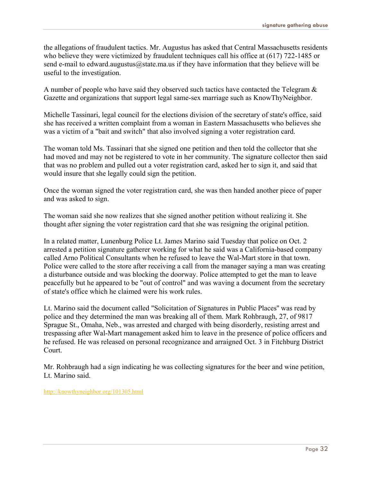the allegations of fraudulent tactics. Mr. Augustus has asked that Central Massachusetts residents who believe they were victimized by fraudulent techniques call his office at (617) 722-1485 or send e-mail to edward.augustus@state.ma.us if they have information that they believe will be useful to the investigation.

A number of people who have said they observed such tactics have contacted the Telegram  $\&$ Gazette and organizations that support legal same-sex marriage such as KnowThyNeighbor.

Michelle Tassinari, legal council for the elections division of the secretary of state's office, said she has received a written complaint from a woman in Eastern Massachusetts who believes she was a victim of a "bait and switch" that also involved signing a voter registration card.

The woman told Ms. Tassinari that she signed one petition and then told the collector that she had moved and may not be registered to vote in her community. The signature collector then said that was no problem and pulled out a voter registration card, asked her to sign it, and said that would insure that she legally could sign the petition.

Once the woman signed the voter registration card, she was then handed another piece of paper and was asked to sign.

The woman said she now realizes that she signed another petition without realizing it. She thought after signing the voter registration card that she was resigning the original petition.

In a related matter, Lunenburg Police Lt. James Marino said Tuesday that police on Oct. 2 arrested a petition signature gatherer working for what he said was a California-based company called Arno Political Consultants when he refused to leave the Wal-Mart store in that town. Police were called to the store after receiving a call from the manager saying a man was creating a disturbance outside and was blocking the doorway. Police attempted to get the man to leave peacefully but he appeared to be "out of control" and was waving a document from the secretary of state's office which he claimed were his work rules.

Lt. Marino said the document called "Solicitation of Signatures in Public Places'' was read by police and they determined the man was breaking all of them. Mark Rohbraugh, 27, of 9817 Sprague St., Omaha, Neb., was arrested and charged with being disorderly, resisting arrest and trespassing after Wal-Mart management asked him to leave in the presence of police officers and he refused. He was released on personal recognizance and arraigned Oct. 3 in Fitchburg District Court.

Mr. Rohbraugh had a sign indicating he was collecting signatures for the beer and wine petition, Lt. Marino said.

<http://knowthyneighbor.org/101305.html>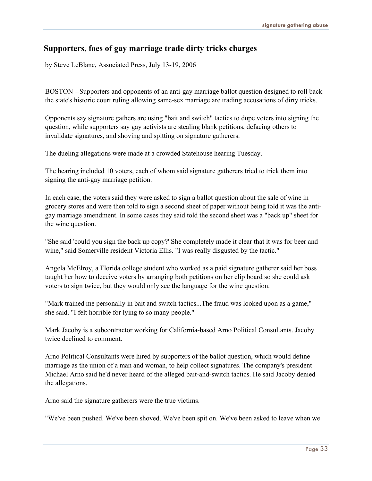#### **Supporters, foes of gay marriage trade dirty tricks charges**

by Steve LeBlanc, Associated Press, July 13-19, 2006

BOSTON --Supporters and opponents of an anti-gay marriage ballot question designed to roll back the state's historic court ruling allowing same-sex marriage are trading accusations of dirty tricks.

Opponents say signature gathers are using "bait and switch" tactics to dupe voters into signing the question, while supporters say gay activists are stealing blank petitions, defacing others to invalidate signatures, and shoving and spitting on signature gatherers.

The dueling allegations were made at a crowded Statehouse hearing Tuesday.

The hearing included 10 voters, each of whom said signature gatherers tried to trick them into signing the anti-gay marriage petition.

In each case, the voters said they were asked to sign a ballot question about the sale of wine in grocery stores and were then told to sign a second sheet of paper without being told it was the antigay marriage amendment. In some cases they said told the second sheet was a "back up" sheet for the wine question.

"She said 'could you sign the back up copy?' She completely made it clear that it was for beer and wine," said Somerville resident Victoria Ellis. "I was really disgusted by the tactic."

Angela McElroy, a Florida college student who worked as a paid signature gatherer said her boss taught her how to deceive voters by arranging both petitions on her clip board so she could ask voters to sign twice, but they would only see the language for the wine question.

"Mark trained me personally in bait and switch tactics...The fraud was looked upon as a game," she said. "I felt horrible for lying to so many people."

Mark Jacoby is a subcontractor working for California-based Arno Political Consultants. Jacoby twice declined to comment.

Arno Political Consultants were hired by supporters of the ballot question, which would define marriage as the union of a man and woman, to help collect signatures. The company's president Michael Arno said he'd never heard of the alleged bait-and-switch tactics. He said Jacoby denied the allegations.

Arno said the signature gatherers were the true victims.

"We've been pushed. We've been shoved. We've been spit on. We've been asked to leave when we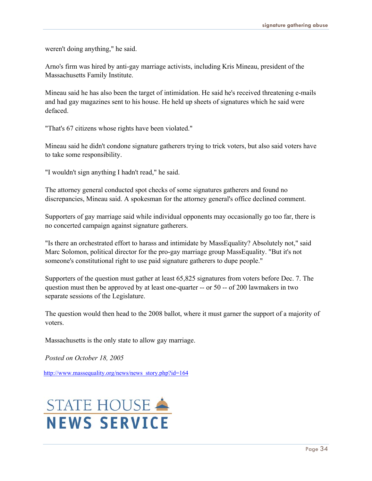weren't doing anything," he said.

Arno's firm was hired by anti-gay marriage activists, including Kris Mineau, president of the Massachusetts Family Institute.

Mineau said he has also been the target of intimidation. He said he's received threatening e-mails and had gay magazines sent to his house. He held up sheets of signatures which he said were defaced.

"That's 67 citizens whose rights have been violated."

Mineau said he didn't condone signature gatherers trying to trick voters, but also said voters have to take some responsibility.

"I wouldn't sign anything I hadn't read," he said.

The attorney general conducted spot checks of some signatures gatherers and found no discrepancies, Mineau said. A spokesman for the attorney general's office declined comment.

Supporters of gay marriage said while individual opponents may occasionally go too far, there is no concerted campaign against signature gatherers.

"Is there an orchestrated effort to harass and intimidate by MassEquality? Absolutely not," said Marc Solomon, political director for the pro-gay marriage group MassEquality. "But it's not someone's constitutional right to use paid signature gatherers to dupe people."

Supporters of the question must gather at least 65,825 signatures from voters before Dec. 7. The question must then be approved by at least one-quarter -- or 50 -- of 200 lawmakers in two separate sessions of the Legislature.

The question would then head to the 2008 ballot, where it must garner the support of a majority of voters.

Massachusetts is the only state to allow gay marriage.

*Posted on October 18, 2005*

http://www.massequality.org/news/news\_story.php?id=164

## STATE HOUSE **NEWS SERVICE**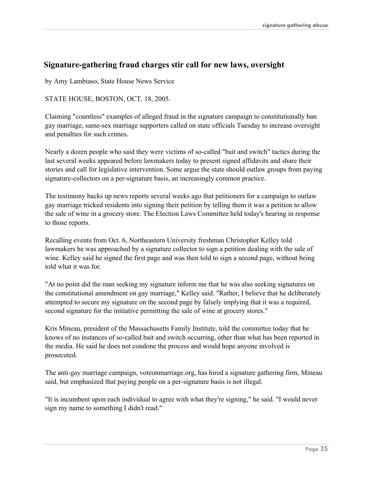#### **Signature-gathering fraud charges stir call for new laws, oversight**

by Amy Lambiaso, State House News Service

STATE HOUSE, BOSTON, OCT. 18, 2005.

Claiming "countless" examples of alleged fraud in the signature campaign to constitutionally ban gay marriage, same-sex marriage supporters called on state officials Tuesday to increase oversight and penalties for such crimes.

Nearly a dozen people who said they were victims of so-called "bait and switch" tactics during the last several weeks appeared before lawmakers today to present signed affidavits and share their stories and call for legislative intervention. Some argue the state should outlaw groups from paying signature-collectors on a per-signature basis, an increasingly common practice.

The testimony backs up news reports several weeks ago that petitioners for a campaign to outlaw gay marriage tricked residents into signing their petition by telling them it was a petition to allow the sale of wine in a grocery store. The Election Laws Committee held today's hearing in response to those reports.

Recalling events from Oct. 6, Northeastern University freshman Christopher Kelley told lawmakers he was approached by a signature collector to sign a petition dealing with the sale of wine. Kelley said he signed the first page and was then told to sign a second page, without being told what it was for.

"At no point did the man seeking my signature inform me that he was also seeking signatures on the constitutional amendment on gay marriage," Kelley said. "Rather, I believe that he deliberately attempted to secure my signature on the second page by falsely implying that it was a required, second signature for the initiative permitting the sale of wine at grocery stores."

Kris Mineau, president of the Massachusetts Family Institute, told the committee today that he knows of no instances of so-called bait and switch occurring, other than what has been reported in the media. He said he does not condone the process and would hope anyone involved is prosecuted.

The anti-gay marriage campaign, voteonmarriage.org, has hired a signature gathering firm, Mineau said, but emphasized that paying people on a per-signature basis is not illegal.

"It is incumbent upon each individual to agree with what they're signing," he said. "I would never sign my name to something I didn't read."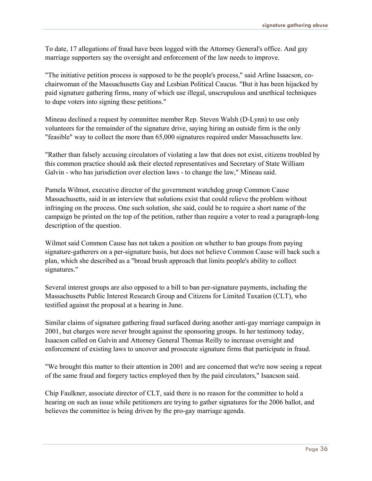To date, 17 allegations of fraud have been logged with the Attorney General's office. And gay marriage supporters say the oversight and enforcement of the law needs to improve.

"The initiative petition process is supposed to be the people's process," said Arline Isaacson, cochairwoman of the Massachusetts Gay and Lesbian Political Caucus. "But it has been hijacked by paid signature gathering firms, many of which use illegal, unscrupulous and unethical techniques to dupe voters into signing these petitions."

Mineau declined a request by committee member Rep. Steven Walsh (D-Lynn) to use only volunteers for the remainder of the signature drive, saying hiring an outside firm is the only "feasible" way to collect the more than 65,000 signatures required under Massachusetts law.

"Rather than falsely accusing circulators of violating a law that does not exist, citizens troubled by this common practice should ask their elected representatives and Secretary of State William Galvin - who has jurisdiction over election laws - to change the law," Mineau said.

Pamela Wilmot, executive director of the government watchdog group Common Cause Massachusetts, said in an interview that solutions exist that could relieve the problem without infringing on the process. One such solution, she said, could be to require a short name of the campaign be printed on the top of the petition, rather than require a voter to read a paragraph-long description of the question.

Wilmot said Common Cause has not taken a position on whether to ban groups from paying signature-gatherers on a per-signature basis, but does not believe Common Cause will back such a plan, which she described as a "broad brush approach that limits people's ability to collect signatures."

Several interest groups are also opposed to a bill to ban per-signature payments, including the Massachusetts Public Interest Research Group and Citizens for Limited Taxation (CLT), who testified against the proposal at a hearing in June.

Similar claims of signature gathering fraud surfaced during another anti-gay marriage campaign in 2001, but charges were never brought against the sponsoring groups. In her testimony today, Isaacson called on Galvin and Attorney General Thomas Reilly to increase oversight and enforcement of existing laws to uncover and prosecute signature firms that participate in fraud.

"We brought this matter to their attention in 2001 and are concerned that we're now seeing a repeat of the same fraud and forgery tactics employed then by the paid circulators," Isaacson said.

Chip Faulkner, associate director of CLT, said there is no reason for the committee to hold a hearing on such an issue while petitioners are trying to gather signatures for the 2006 ballot, and believes the committee is being driven by the pro-gay marriage agenda.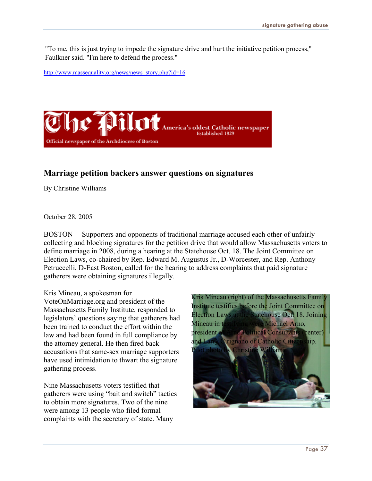"To me, this is just trying to impede the signature drive and hurt the initiative petition process," Faulkner said. "I'm here to defend the process."

http://www.massequality.org/news/news\_story.php?id=16



#### **Marriage petition backers answer questions on signatures**

By Christine Williams

October 28, 2005

BOSTON —Supporters and opponents of traditional marriage accused each other of unfairly collecting and blocking signatures for the petition drive that would allow Massachusetts voters to define marriage in 2008, during a hearing at the Statehouse Oct. 18. The Joint Committee on Election Laws, co-chaired by Rep. Edward M. Augustus Jr., D-Worcester, and Rep. Anthony Petruccelli, D-East Boston, called for the hearing to address complaints that paid signature gatherers were obtaining signatures illegally.

#### Kris Mineau, a spokesman for

VoteOnMarriage.org and president of the Massachusetts Family Institute, responded to legislators' questions saying that gatherers had been trained to conduct the effort within the law and had been found in full compliance by the attorney general. He then fired back accusations that same-sex marriage supporters have used intimidation to thwart the signature gathering process.

Nine Massachusetts voters testified that gatherers were using "bait and switch" tactics to obtain more signatures. Two of the nine were among 13 people who filed formal complaints with the secretary of state. Many

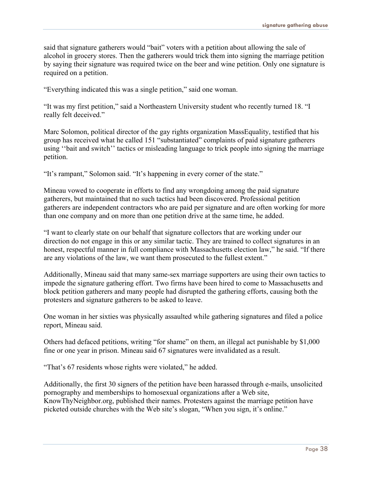said that signature gatherers would "bait" voters with a petition about allowing the sale of alcohol in grocery stores. Then the gatherers would trick them into signing the marriage petition by saying their signature was required twice on the beer and wine petition. Only one signature is required on a petition.

"Everything indicated this was a single petition," said one woman.

"It was my first petition," said a Northeastern University student who recently turned 18. "I really felt deceived."

Marc Solomon, political director of the gay rights organization MassEquality, testified that his group has received what he called 151 "substantiated" complaints of paid signature gatherers using ''bait and switch'' tactics or misleading language to trick people into signing the marriage petition.

"It's rampant," Solomon said. "It's happening in every corner of the state."

Mineau vowed to cooperate in efforts to find any wrongdoing among the paid signature gatherers, but maintained that no such tactics had been discovered. Professional petition gatherers are independent contractors who are paid per signature and are often working for more than one company and on more than one petition drive at the same time, he added.

"I want to clearly state on our behalf that signature collectors that are working under our direction do not engage in this or any similar tactic. They are trained to collect signatures in an honest, respectful manner in full compliance with Massachusetts election law," he said. "If there are any violations of the law, we want them prosecuted to the fullest extent."

Additionally, Mineau said that many same-sex marriage supporters are using their own tactics to impede the signature gathering effort. Two firms have been hired to come to Massachusetts and block petition gatherers and many people had disrupted the gathering efforts, causing both the protesters and signature gatherers to be asked to leave.

One woman in her sixties was physically assaulted while gathering signatures and filed a police report, Mineau said.

Others had defaced petitions, writing "for shame" on them, an illegal act punishable by \$1,000 fine or one year in prison. Mineau said 67 signatures were invalidated as a result.

"That's 67 residents whose rights were violated," he added.

Additionally, the first 30 signers of the petition have been harassed through e-mails, unsolicited pornography and memberships to homosexual organizations after a Web site, KnowThyNeighbor.org, published their names. Protesters against the marriage petition have picketed outside churches with the Web site's slogan, "When you sign, it's online."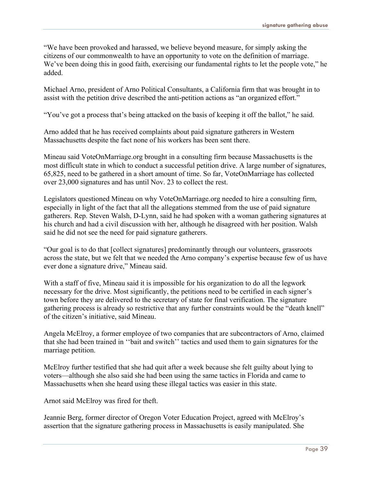"We have been provoked and harassed, we believe beyond measure, for simply asking the citizens of our commonwealth to have an opportunity to vote on the definition of marriage. We've been doing this in good faith, exercising our fundamental rights to let the people vote," he added.

Michael Arno, president of Arno Political Consultants, a California firm that was brought in to assist with the petition drive described the anti-petition actions as "an organized effort."

"You've got a process that's being attacked on the basis of keeping it off the ballot," he said.

Arno added that he has received complaints about paid signature gatherers in Western Massachusetts despite the fact none of his workers has been sent there.

Mineau said VoteOnMarriage.org brought in a consulting firm because Massachusetts is the most difficult state in which to conduct a successful petition drive. A large number of signatures, 65,825, need to be gathered in a short amount of time. So far, VoteOnMarriage has collected over 23,000 signatures and has until Nov. 23 to collect the rest.

Legislators questioned Mineau on why VoteOnMarriage.org needed to hire a consulting firm, especially in light of the fact that all the allegations stemmed from the use of paid signature gatherers. Rep. Steven Walsh, D-Lynn, said he had spoken with a woman gathering signatures at his church and had a civil discussion with her, although he disagreed with her position. Walsh said he did not see the need for paid signature gatherers.

"Our goal is to do that [collect signatures] predominantly through our volunteers, grassroots across the state, but we felt that we needed the Arno company's expertise because few of us have ever done a signature drive," Mineau said.

With a staff of five, Mineau said it is impossible for his organization to do all the legwork necessary for the drive. Most significantly, the petitions need to be certified in each signer's town before they are delivered to the secretary of state for final verification. The signature gathering process is already so restrictive that any further constraints would be the "death knell" of the citizen's initiative, said Mineau.

Angela McElroy, a former employee of two companies that are subcontractors of Arno, claimed that she had been trained in ''bait and switch'' tactics and used them to gain signatures for the marriage petition.

McElroy further testified that she had quit after a week because she felt guilty about lying to voters—although she also said she had been using the same tactics in Florida and came to Massachusetts when she heard using these illegal tactics was easier in this state.

Arnot said McElroy was fired for theft.

Jeannie Berg, former director of Oregon Voter Education Project, agreed with McElroy's assertion that the signature gathering process in Massachusetts is easily manipulated. She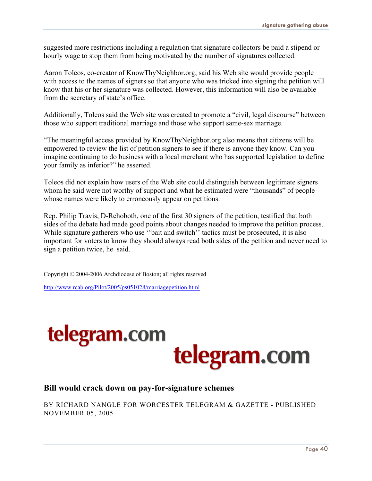suggested more restrictions including a regulation that signature collectors be paid a stipend or hourly wage to stop them from being motivated by the number of signatures collected.

Aaron Toleos, co-creator of KnowThyNeighbor.org, said his Web site would provide people with access to the names of signers so that anyone who was tricked into signing the petition will know that his or her signature was collected. However, this information will also be available from the secretary of state's office.

Additionally, Toleos said the Web site was created to promote a "civil, legal discourse" between those who support traditional marriage and those who support same-sex marriage.

"The meaningful access provided by KnowThyNeighbor.org also means that citizens will be empowered to review the list of petition signers to see if there is anyone they know. Can you imagine continuing to do business with a local merchant who has supported legislation to define your family as inferior?" he asserted.

Toleos did not explain how users of the Web site could distinguish between legitimate signers whom he said were not worthy of support and what he estimated were "thousands" of people whose names were likely to erroneously appear on petitions.

Rep. Philip Travis, D-Rehoboth, one of the first 30 signers of the petition, testified that both sides of the debate had made good points about changes needed to improve the petition process. While signature gatherers who use "bait and switch" tactics must be prosecuted, it is also important for voters to know they should always read both sides of the petition and never need to sign a petition twice, he said.

Copyright © 2004-2006 Archdiocese of Boston; all rights reserved

http://www.rcab.org/Pilot/2005/ps051028/marriagepetition.html



#### **Bill would crack down on pay-for-signature schemes**

BY RICHARD NANGLE FOR WORCESTER TELEGRAM & GAZETTE - PUBLISHED NOVEMBER 05, 2005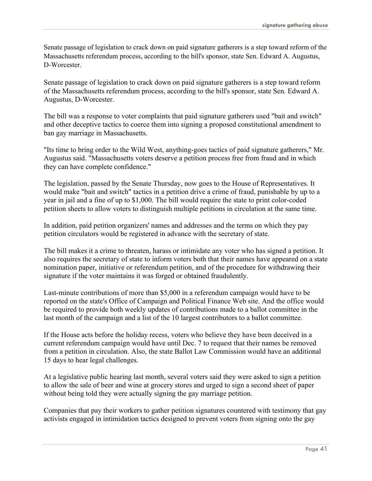Senate passage of legislation to crack down on paid signature gatherers is a step toward reform of the Massachusetts referendum process, according to the bill's sponsor, state Sen. Edward A. Augustus, D-Worcester.

Senate passage of legislation to crack down on paid signature gatherers is a step toward reform of the Massachusetts referendum process, according to the bill's sponsor, state Sen. Edward A. Augustus, D-Worcester.

The bill was a response to voter complaints that paid signature gatherers used "bait and switch" and other deceptive tactics to coerce them into signing a proposed constitutional amendment to ban gay marriage in Massachusetts.

"Its time to bring order to the Wild West, anything-goes tactics of paid signature gatherers," Mr. Augustus said. "Massachusetts voters deserve a petition process free from fraud and in which they can have complete confidence."

The legislation, passed by the Senate Thursday, now goes to the House of Representatives. It would make "bait and switch" tactics in a petition drive a crime of fraud, punishable by up to a year in jail and a fine of up to \$1,000. The bill would require the state to print color-coded petition sheets to allow voters to distinguish multiple petitions in circulation at the same time.

In addition, paid petition organizers' names and addresses and the terms on which they pay petition circulators would be registered in advance with the secretary of state.

The bill makes it a crime to threaten, harass or intimidate any voter who has signed a petition. It also requires the secretary of state to inform voters both that their names have appeared on a state nomination paper, initiative or referendum petition, and of the procedure for withdrawing their signature if the voter maintains it was forged or obtained fraudulently.

Last-minute contributions of more than \$5,000 in a referendum campaign would have to be reported on the state's Office of Campaign and Political Finance Web site. And the office would be required to provide both weekly updates of contributions made to a ballot committee in the last month of the campaign and a list of the 10 largest contributors to a ballot committee.

If the House acts before the holiday recess, voters who believe they have been deceived in a current referendum campaign would have until Dec. 7 to request that their names be removed from a petition in circulation. Also, the state Ballot Law Commission would have an additional 15 days to hear legal challenges.

At a legislative public hearing last month, several voters said they were asked to sign a petition to allow the sale of beer and wine at grocery stores and urged to sign a second sheet of paper without being told they were actually signing the gay marriage petition.

Companies that pay their workers to gather petition signatures countered with testimony that gay activists engaged in intimidation tactics designed to prevent voters from signing onto the gay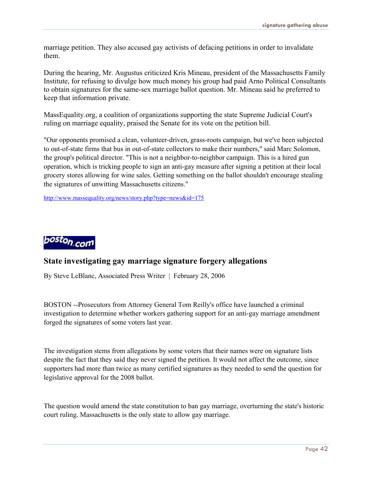marriage petition. They also accused gay activists of defacing petitions in order to invalidate them.

During the hearing, Mr. Augustus criticized Kris Mineau, president of the Massachusetts Family Institute, for refusing to divulge how much money his group had paid Arno Political Consultants to obtain signatures for the same-sex marriage ballot question. Mr. Mineau said he preferred to keep that information private.

MassEquality.org, a coalition of organizations supporting the state Supreme Judicial Court's ruling on marriage equality, praised the Senate for its vote on the petition bill.

"Our opponents promised a clean, volunteer-driven, grass-roots campaign, but we've been subjected to out-of-state firms that bus in out-of-state collectors to make their numbers," said Marc Solomon, the group's political director. "This is not a neighbor-to-neighbor campaign. This is a hired gun operation, which is tricking people to sign an anti-gay measure after signing a petition at their local grocery stores allowing for wine sales. Getting something on the ballot shouldn't encourage stealing the signatures of unwitting Massachusetts citizens."

http://www.massequality.org/news/story.php?type=news&id=175



#### **State investigating gay marriage signature forgery allegations**

By Steve LeBlanc, Associated Press Writer | February 28, 2006

BOSTON --Prosecutors from Attorney General Tom Reilly's office have launched a criminal investigation to determine whether workers gathering support for an anti-gay marriage amendment forged the signatures of some voters last year.

The investigation stems from allegations by some voters that their names were on signature lists despite the fact that they said they never signed the petition. It would not affect the outcome, since supporters had more than twice as many certified signatures as they needed to send the question for legislative approval for the 2008 ballot.

The question would amend the state constitution to ban gay marriage, overturning the state's historic court ruling. Massachusetts is the only state to allow gay marriage.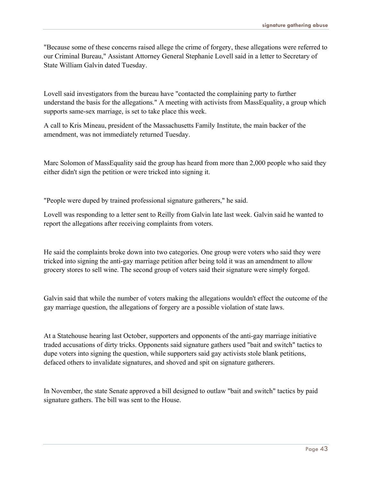"Because some of these concerns raised allege the crime of forgery, these allegations were referred to our Criminal Bureau," Assistant Attorney General Stephanie Lovell said in a letter to Secretary of State William Galvin dated Tuesday.

Lovell said investigators from the bureau have "contacted the complaining party to further understand the basis for the allegations." A meeting with activists from MassEquality, a group which supports same-sex marriage, is set to take place this week.

A call to Kris Mineau, president of the Massachusetts Family Institute, the main backer of the amendment, was not immediately returned Tuesday.

Marc Solomon of MassEquality said the group has heard from more than 2,000 people who said they either didn't sign the petition or were tricked into signing it.

"People were duped by trained professional signature gatherers," he said.

Lovell was responding to a letter sent to Reilly from Galvin late last week. Galvin said he wanted to report the allegations after receiving complaints from voters.

He said the complaints broke down into two categories. One group were voters who said they were tricked into signing the anti-gay marriage petition after being told it was an amendment to allow grocery stores to sell wine. The second group of voters said their signature were simply forged.

Galvin said that while the number of voters making the allegations wouldn't effect the outcome of the gay marriage question, the allegations of forgery are a possible violation of state laws.

At a Statehouse hearing last October, supporters and opponents of the anti-gay marriage initiative traded accusations of dirty tricks. Opponents said signature gathers used "bait and switch" tactics to dupe voters into signing the question, while supporters said gay activists stole blank petitions, defaced others to invalidate signatures, and shoved and spit on signature gatherers.

In November, the state Senate approved a bill designed to outlaw "bait and switch" tactics by paid signature gathers. The bill was sent to the House.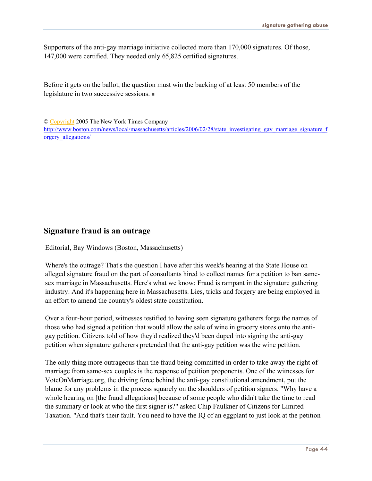Supporters of the anti-gay marriage initiative collected more than 170,000 signatures. Of those, 147,000 were certified. They needed only 65,825 certified signatures.

Before it gets on the ballot, the question must win the backing of at least 50 members of the legislature in two successive sessions.

© [Copyright](http://www.boston.com/help/bostoncom_info/copyright) 2005 The New York Times Company

http://www.boston.com/news/local/massachusetts/articles/2006/02/28/state\_investigating\_gay\_marriage\_signature\_f orgery\_allegations/

#### **Signature fraud is an outrage**

Editorial, Bay Windows (Boston, Massachusetts)

Where's the outrage? That's the question I have after this week's hearing at the State House on alleged signature fraud on the part of consultants hired to collect names for a petition to ban samesex marriage in Massachusetts. Here's what we know: Fraud is rampant in the signature gathering industry. And it's happening here in Massachusetts. Lies, tricks and forgery are being employed in an effort to amend the country's oldest state constitution.

Over a four-hour period, witnesses testified to having seen signature gatherers forge the names of those who had signed a petition that would allow the sale of wine in grocery stores onto the antigay petition. Citizens told of how they'd realized they'd been duped into signing the anti-gay petition when signature gatherers pretended that the anti-gay petition was the wine petition.

The only thing more outrageous than the fraud being committed in order to take away the right of marriage from same-sex couples is the response of petition proponents. One of the witnesses for VoteOnMarriage.org, the driving force behind the anti-gay constitutional amendment, put the blame for any problems in the process squarely on the shoulders of petition signers. "Why have a whole hearing on [the fraud allegations] because of some people who didn't take the time to read the summary or look at who the first signer is?" asked Chip Faulkner of Citizens for Limited Taxation. "And that's their fault. You need to have the IQ of an eggplant to just look at the petition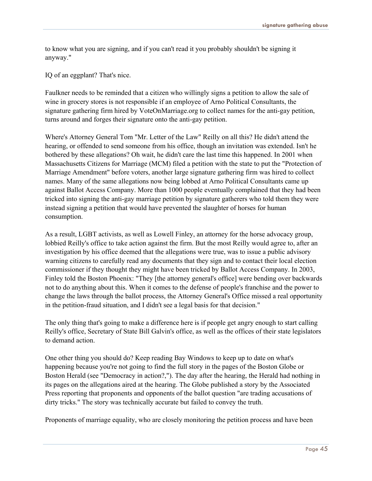to know what you are signing, and if you can't read it you probably shouldn't be signing it anyway."

IQ of an eggplant? That's nice.

Faulkner needs to be reminded that a citizen who willingly signs a petition to allow the sale of wine in grocery stores is not responsible if an employee of Arno Political Consultants, the signature gathering firm hired by VoteOnMarriage.org to collect names for the anti-gay petition, turns around and forges their signature onto the anti-gay petition.

Where's Attorney General Tom "Mr. Letter of the Law" Reilly on all this? He didn't attend the hearing, or offended to send someone from his office, though an invitation was extended. Isn't he bothered by these allegations? Oh wait, he didn't care the last time this happened. In 2001 when Massachusetts Citizens for Marriage (MCM) filed a petition with the state to put the "Protection of Marriage Amendment" before voters, another large signature gathering firm was hired to collect names. Many of the same allegations now being lobbed at Arno Political Consultants came up against Ballot Access Company. More than 1000 people eventually complained that they had been tricked into signing the anti-gay marriage petition by signature gatherers who told them they were instead signing a petition that would have prevented the slaughter of horses for human consumption.

As a result, LGBT activists, as well as Lowell Finley, an attorney for the horse advocacy group, lobbied Reilly's office to take action against the firm. But the most Reilly would agree to, after an investigation by his office deemed that the allegations were true, was to issue a public advisory warning citizens to carefully read any documents that they sign and to contact their local election commissioner if they thought they might have been tricked by Ballot Access Company. In 2003, Finley told the Boston Phoenix: "They [the attorney general's office] were bending over backwards not to do anything about this. When it comes to the defense of people's franchise and the power to change the laws through the ballot process, the Attorney General's Office missed a real opportunity in the petition-fraud situation, and I didn't see a legal basis for that decision."

The only thing that's going to make a difference here is if people get angry enough to start calling Reilly's office, Secretary of State Bill Galvin's office, as well as the offices of their state legislators to demand action.

One other thing you should do? Keep reading Bay Windows to keep up to date on what's happening because you're not going to find the full story in the pages of the Boston Globe or Boston Herald (see "Democracy in action?,"). The day after the hearing, the Herald had nothing in its pages on the allegations aired at the hearing. The Globe published a story by the Associated Press reporting that proponents and opponents of the ballot question "are trading accusations of dirty tricks." The story was technically accurate but failed to convey the truth.

Proponents of marriage equality, who are closely monitoring the petition process and have been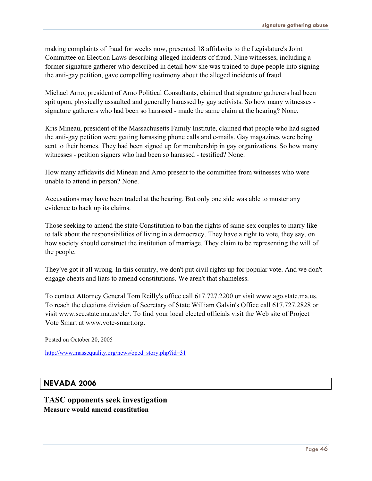making complaints of fraud for weeks now, presented 18 affidavits to the Legislature's Joint Committee on Election Laws describing alleged incidents of fraud. Nine witnesses, including a former signature gatherer who described in detail how she was trained to dupe people into signing the anti-gay petition, gave compelling testimony about the alleged incidents of fraud.

Michael Arno, president of Arno Political Consultants, claimed that signature gatherers had been spit upon, physically assaulted and generally harassed by gay activists. So how many witnesses signature gatherers who had been so harassed - made the same claim at the hearing? None.

Kris Mineau, president of the Massachusetts Family Institute, claimed that people who had signed the anti-gay petition were getting harassing phone calls and e-mails. Gay magazines were being sent to their homes. They had been signed up for membership in gay organizations. So how many witnesses - petition signers who had been so harassed - testified? None.

How many affidavits did Mineau and Arno present to the committee from witnesses who were unable to attend in person? None.

Accusations may have been traded at the hearing. But only one side was able to muster any evidence to back up its claims.

Those seeking to amend the state Constitution to ban the rights of same-sex couples to marry like to talk about the responsibilities of living in a democracy. They have a right to vote, they say, on how society should construct the institution of marriage. They claim to be representing the will of the people.

They've got it all wrong. In this country, we don't put civil rights up for popular vote. And we don't engage cheats and liars to amend constitutions. We aren't that shameless.

To contact Attorney General Tom Reilly's office call 617.727.2200 or visit www.ago.state.ma.us. To reach the elections division of Secretary of State William Galvin's Office call 617.727.2828 or visit www.sec.state.ma.us/ele/. To find your local elected officials visit the Web site of Project Vote Smart at www.vote-smart.org.

Posted on October 20, 2005

http://www.massequality.org/news/oped\_story.php?id=31

#### **NEVADA 2006**

**TASC opponents seek investigation Measure would amend constitution**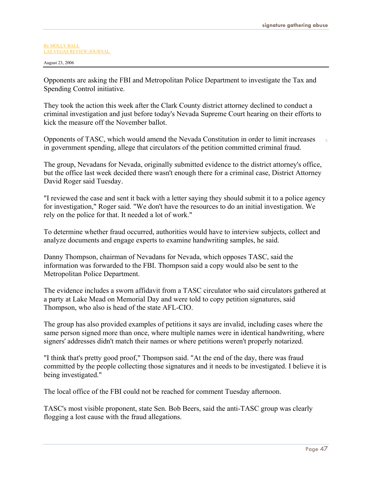A

#### By [MOLLY](http://www.reviewjournal.com/about/print/rjstaff.html) BALL LAS VEGAS [REVIEW-JOURNAL](http://www.reviewjournal.com/about/print/rjstaff.html)

August 23, 2006

Opponents are asking the FBI and Metropolitan Police Department to investigate the Tax and Spending Control initiative.

They took the action this week after the Clark County district attorney declined to conduct a criminal investigation and just before today's Nevada Supreme Court hearing on their efforts to kick the measure off the November ballot.

Opponents of TASC, which would amend the Nevada Constitution in order to limit increases in government spending, allege that circulators of the petition committed criminal fraud.

The group, Nevadans for Nevada, originally submitted evidence to the district attorney's office, but the office last week decided there wasn't enough there for a criminal case, District Attorney David Roger said Tuesday.

"I reviewed the case and sent it back with a letter saying they should submit it to a police agency for investigation," Roger said. "We don't have the resources to do an initial investigation. We rely on the police for that. It needed a lot of work."

To determine whether fraud occurred, authorities would have to interview subjects, collect and analyze documents and engage experts to examine handwriting samples, he said.

Danny Thompson, chairman of Nevadans for Nevada, which opposes TASC, said the information was forwarded to the FBI. Thompson said a copy would also be sent to the Metropolitan Police Department.

The evidence includes a sworn affidavit from a TASC circulator who said circulators gathered at a party at Lake Mead on Memorial Day and were told to copy petition signatures, said Thompson, who also is head of the state AFL-CIO.

The group has also provided examples of petitions it says are invalid, including cases where the same person signed more than once, where multiple names were in identical handwriting, where signers' addresses didn't match their names or where petitions weren't properly notarized.

"I think that's pretty good proof," Thompson said. "At the end of the day, there was fraud committed by the people collecting those signatures and it needs to be investigated. I believe it is being investigated."

The local office of the FBI could not be reached for comment Tuesday afternoon.

TASC's most visible proponent, state Sen. Bob Beers, said the anti-TASC group was clearly flogging a lost cause with the fraud allegations.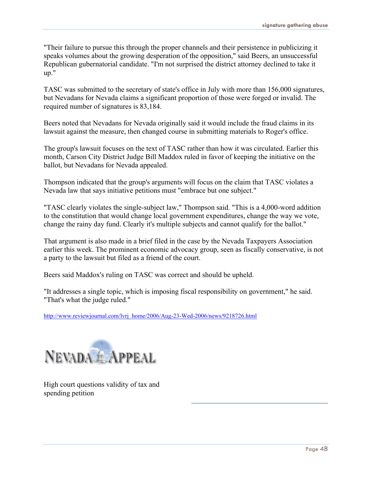"Their failure to pursue this through the proper channels and their persistence in publicizing it speaks volumes about the growing desperation of the opposition," said Beers, an unsuccessful Republican gubernatorial candidate. "I'm not surprised the district attorney declined to take it up."

TASC was submitted to the secretary of state's office in July with more than 156,000 signatures, but Nevadans for Nevada claims a significant proportion of those were forged or invalid. The required number of signatures is 83,184.

Beers noted that Nevadans for Nevada originally said it would include the fraud claims in its lawsuit against the measure, then changed course in submitting materials to Roger's office.

The group's lawsuit focuses on the text of TASC rather than how it was circulated. Earlier this month, Carson City District Judge Bill Maddox ruled in favor of keeping the initiative on the ballot, but Nevadans for Nevada appealed.

Thompson indicated that the group's arguments will focus on the claim that TASC violates a Nevada law that says initiative petitions must "embrace but one subject."

"TASC clearly violates the single-subject law," Thompson said. "This is a 4,000-word addition to the constitution that would change local government expenditures, change the way we vote, change the rainy day fund. Clearly it's multiple subjects and cannot qualify for the ballot."

That argument is also made in a brief filed in the case by the Nevada Taxpayers Association earlier this week. The prominent economic advocacy group, seen as fiscally conservative, is not a party to the lawsuit but filed as a friend of the court.

Beers said Maddox's ruling on TASC was correct and should be upheld.

"It addresses a single topic, which is imposing fiscal responsibility on government," he said. "That's what the judge ruled."

http://www.reviewjournal.com/lvrj\_home/2006/Aug-23-Wed-2006/news/9218726.html



High court questions validity of tax and spending petition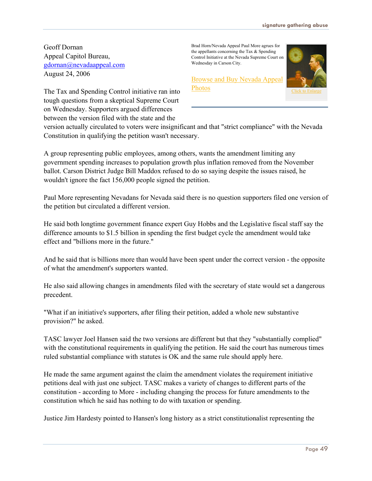Geoff Dornan Appeal Capitol Bureau, [gdornan@nevadaappeal.com](mailto:gdornan@nevadaappeal.com) August 24, 2006

The Tax and Spending Control initiative ran into tough questions from a skeptical Supreme Court on Wednesday. Supporters argued differences between the version filed with the state and the

Brad Horn/Nevada Appeal Paul More agrues for the appellants concerning the Tax & Spending Control Initiative at the Nevada Supreme Court on Wednesday in Carson City.

[Browse and Buy Nevada Appeal](http://www.nevadaappeal.com/photos/)  [Photos](http://www.nevadaappeal.com/photos/)



version actually circulated to voters were insignificant and that "strict compliance" wi[th the Nevada](javascript:NewWindow(600,500,) Constitution in qualifying the petition wasn't necessary.

A group representing public employees, among others, wants the amendment limiting any government spending increases to population growth plus inflation removed from the November ballot. Carson District Judge Bill Maddox refused to do so saying despite the issues raised, he wouldn't ignore the fact 156,000 people signed the petition.

Paul More representing Nevadans for Nevada said there is no question supporters filed one version of the petition but circulated a different version.

He said both longtime government finance expert Guy Hobbs and the Legislative fiscal staff say the difference amounts to \$1.5 billion in spending the first budget cycle the amendment would take effect and "billions more in the future."

And he said that is billions more than would have been spent under the correct version - the opposite of what the amendment's supporters wanted.

He also said allowing changes in amendments filed with the secretary of state would set a dangerous precedent.

"What if an initiative's supporters, after filing their petition, added a whole new substantive provision?" he asked.

TASC lawyer Joel Hansen said the two versions are different but that they "substantially complied" with the constitutional requirements in qualifying the petition. He said the court has numerous times ruled substantial compliance with statutes is OK and the same rule should apply here.

He made the same argument against the claim the amendment violates the requirement initiative petitions deal with just one subject. TASC makes a variety of changes to different parts of the constitution - according to More - including changing the process for future amendments to the constitution which he said has nothing to do with taxation or spending.

Justice Jim Hardesty pointed to Hansen's long history as a strict constitutionalist representing the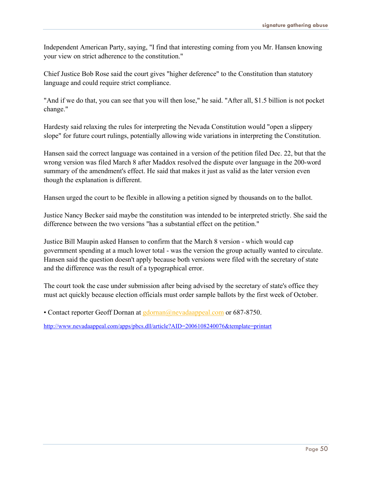Independent American Party, saying, "I find that interesting coming from you Mr. Hansen knowing your view on strict adherence to the constitution."

Chief Justice Bob Rose said the court gives "higher deference" to the Constitution than statutory language and could require strict compliance.

"And if we do that, you can see that you will then lose," he said. "After all, \$1.5 billion is not pocket change."

Hardesty said relaxing the rules for interpreting the Nevada Constitution would "open a slippery slope" for future court rulings, potentially allowing wide variations in interpreting the Constitution.

Hansen said the correct language was contained in a version of the petition filed Dec. 22, but that the wrong version was filed March 8 after Maddox resolved the dispute over language in the 200-word summary of the amendment's effect. He said that makes it just as valid as the later version even though the explanation is different.

Hansen urged the court to be flexible in allowing a petition signed by thousands on to the ballot.

Justice Nancy Becker said maybe the constitution was intended to be interpreted strictly. She said the difference between the two versions "has a substantial effect on the petition."

Justice Bill Maupin asked Hansen to confirm that the March 8 version - which would cap government spending at a much lower total - was the version the group actually wanted to circulate. Hansen said the question doesn't apply because both versions were filed with the secretary of state and the difference was the result of a typographical error.

The court took the case under submission after being advised by the secretary of state's office they must act quickly because election officials must order sample ballots by the first week of October.

• Contact reporter Geoff Dornan at [gdornan@nevadaappeal.com](mailto:gdornan@nevadaappeal.com) or 687-8750.

http://www.nevadaappeal.com/apps/pbcs.dll/article?AID=2006108240076&template=printart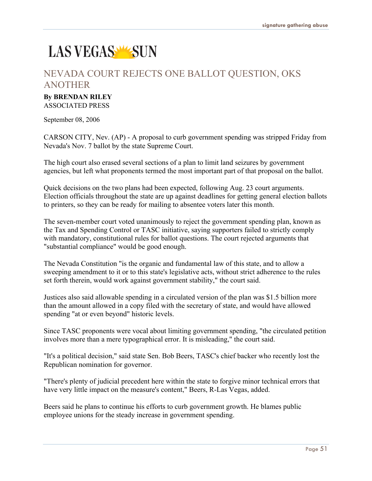## LAS VEGAS WSUN

## NEVADA COURT REJECTS ONE BALLOT QUESTION, OKS ANOTHER

### **By BRENDAN RILEY**

ASSOCIATED PRESS

September 08, 2006

CARSON CITY, Nev. (AP) - A proposal to curb government spending was stripped Friday from Nevada's Nov. 7 ballot by the state Supreme Court.

The high court also erased several sections of a plan to limit land seizures by government agencies, but left what proponents termed the most important part of that proposal on the ballot.

Quick decisions on the two plans had been expected, following Aug. 23 court arguments. Election officials throughout the state are up against deadlines for getting general election ballots to printers, so they can be ready for mailing to absentee voters later this month.

The seven-member court voted unanimously to reject the government spending plan, known as the Tax and Spending Control or TASC initiative, saying supporters failed to strictly comply with mandatory, constitutional rules for ballot questions. The court rejected arguments that "substantial compliance" would be good enough.

The Nevada Constitution "is the organic and fundamental law of this state, and to allow a sweeping amendment to it or to this state's legislative acts, without strict adherence to the rules set forth therein, would work against government stability," the court said.

Justices also said allowable spending in a circulated version of the plan was \$1.5 billion more than the amount allowed in a copy filed with the secretary of state, and would have allowed spending "at or even beyond" historic levels.

Since TASC proponents were vocal about limiting government spending, "the circulated petition involves more than a mere typographical error. It is misleading," the court said.

"It's a political decision," said state Sen. Bob Beers, TASC's chief backer who recently lost the Republican nomination for governor.

"There's plenty of judicial precedent here within the state to forgive minor technical errors that have very little impact on the measure's content," Beers, R-Las Vegas, added.

Beers said he plans to continue his efforts to curb government growth. He blames public employee unions for the steady increase in government spending.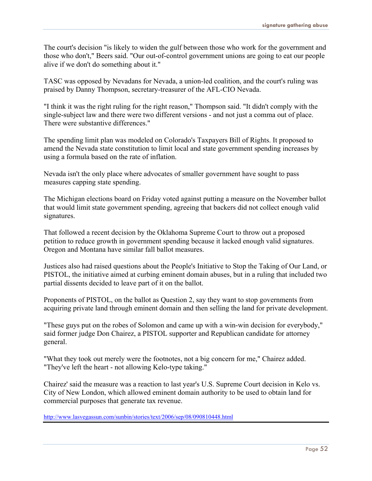The court's decision "is likely to widen the gulf between those who work for the government and those who don't," Beers said. "Our out-of-control government unions are going to eat our people alive if we don't do something about it."

TASC was opposed by Nevadans for Nevada, a union-led coalition, and the court's ruling was praised by Danny Thompson, secretary-treasurer of the AFL-CIO Nevada.

"I think it was the right ruling for the right reason," Thompson said. "It didn't comply with the single-subject law and there were two different versions - and not just a comma out of place. There were substantive differences."

The spending limit plan was modeled on Colorado's Taxpayers Bill of Rights. It proposed to amend the Nevada state constitution to limit local and state government spending increases by using a formula based on the rate of inflation.

Nevada isn't the only place where advocates of smaller government have sought to pass measures capping state spending.

The Michigan elections board on Friday voted against putting a measure on the November ballot that would limit state government spending, agreeing that backers did not collect enough valid signatures.

That followed a recent decision by the Oklahoma Supreme Court to throw out a proposed petition to reduce growth in government spending because it lacked enough valid signatures. Oregon and Montana have similar fall ballot measures.

Justices also had raised questions about the People's Initiative to Stop the Taking of Our Land, or PISTOL, the initiative aimed at curbing eminent domain abuses, but in a ruling that included two partial dissents decided to leave part of it on the ballot.

Proponents of PISTOL, on the ballot as Question 2, say they want to stop governments from acquiring private land through eminent domain and then selling the land for private development.

"These guys put on the robes of Solomon and came up with a win-win decision for everybody," said former judge Don Chairez, a PISTOL supporter and Republican candidate for attorney general.

"What they took out merely were the footnotes, not a big concern for me," Chairez added. "They've left the heart - not allowing Kelo-type taking."

Chairez' said the measure was a reaction to last year's U.S. Supreme Court decision in Kelo vs. City of New London, which allowed eminent domain authority to be used to obtain land for commercial purposes that generate tax revenue.

http://www.lasvegassun.com/sunbin/stories/text/2006/sep/08/090810448.html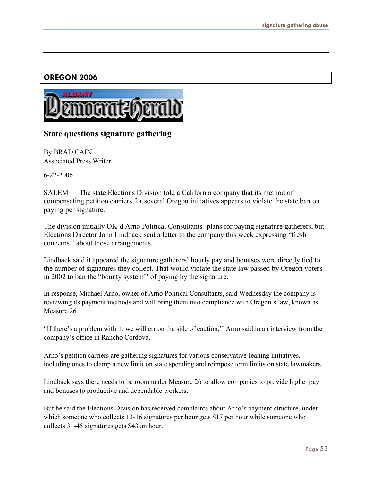#### **OREGON 2006**



#### **State questions signature gathering**

By BRAD CAIN Associated Press Writer

6-22-2006

SALEM — The state Elections Division told a California company that its method of compensating petition carriers for several Oregon initiatives appears to violate the state ban on paying per signature.

The division initially OK'd Arno Political Consultants' plans for paying signature gatherers, but Elections Director John Lindback sent a letter to the company this week expressing "fresh concerns'' about those arrangements.

Lindback said it appeared the signature gatherers' hourly pay and bonuses were directly tied to the number of signatures they collect. That would violate the state law passed by Oregon voters in 2002 to ban the "bounty system'' of paying by the signature.

In response, Michael Arno, owner of Arno Political Consultants, said Wednesday the company is reviewing its payment methods and will bring them into compliance with Oregon's law, known as Measure 26.

"If there's a problem with it, we will err on the side of caution,'' Arno said in an interview from the company's office in Rancho Cordova.

Arno's petition carriers are gathering signatures for various conservative-leaning initiatives, including ones to clamp a new limit on state spending and reimpose term limits on state lawmakers.

Lindback says there needs to be room under Measure 26 to allow companies to provide higher pay and bonuses to productive and dependable workers.

But he said the Elections Division has received complaints about Arno's payment structure, under which someone who collects 13-16 signatures per hour gets \$17 per hour while someone who collects 31-45 signatures gets \$43 an hour.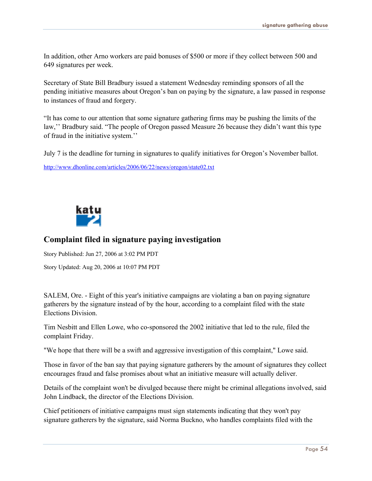In addition, other Arno workers are paid bonuses of \$500 or more if they collect between 500 and 649 signatures per week.

Secretary of State Bill Bradbury issued a statement Wednesday reminding sponsors of all the pending initiative measures about Oregon's ban on paying by the signature, a law passed in response to instances of fraud and forgery.

"It has come to our attention that some signature gathering firms may be pushing the limits of the law,'' Bradbury said. "The people of Oregon passed Measure 26 because they didn't want this type of fraud in the initiative system.''

July 7 is the deadline for turning in signatures to qualify initiatives for Oregon's November ballot.

http://www.dhonline.com/articles/2006/06/22/news/oregon/state02.txt



#### **Complaint filed in signature paying investigation**

Story Published: Jun 27, 2006 at 3:02 PM PDT

Story Updated: Aug 20, 2006 at 10:07 PM PDT

SALEM, Ore. - Eight of this year's initiative campaigns are violating a ban on paying signature gatherers by the signature instead of by the hour, according to a complaint filed with the state Elections Division.

Tim Nesbitt and Ellen Lowe, who co-sponsored the 2002 initiative that led to the rule, filed the complaint Friday.

"We hope that there will be a swift and aggressive investigation of this complaint," Lowe said.

Those in favor of the ban say that paying signature gatherers by the amount of signatures they collect encourages fraud and false promises about what an initiative measure will actually deliver.

Details of the complaint won't be divulged because there might be criminal allegations involved, said John Lindback, the director of the Elections Division.

Chief petitioners of initiative campaigns must sign statements indicating that they won't pay signature gatherers by the signature, said Norma Buckno, who handles complaints filed with the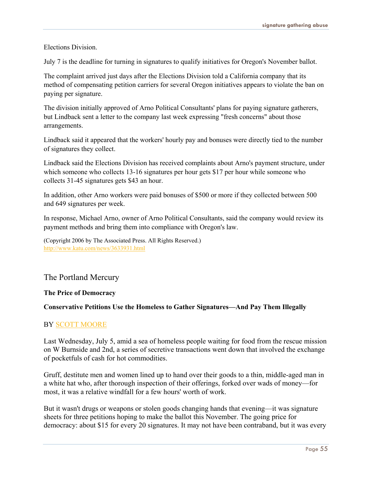Elections Division.

July 7 is the deadline for turning in signatures to qualify initiatives for Oregon's November ballot.

The complaint arrived just days after the Elections Division told a California company that its method of compensating petition carriers for several Oregon initiatives appears to violate the ban on paying per signature.

The division initially approved of Arno Political Consultants' plans for paying signature gatherers, but Lindback sent a letter to the company last week expressing "fresh concerns" about those arrangements.

Lindback said it appeared that the workers' hourly pay and bonuses were directly tied to the number of signatures they collect.

Lindback said the Elections Division has received complaints about Arno's payment structure, under which someone who collects 13-16 signatures per hour gets \$17 per hour while someone who collects 31-45 signatures gets \$43 an hour.

In addition, other Arno workers were paid bonuses of \$500 or more if they collected between 500 and 649 signatures per week.

In response, Michael Arno, owner of Arno Political Consultants, said the company would review its payment methods and bring them into compliance with Oregon's law.

(Copyright 2006 by The Associated Press. All Rights Reserved.) <http://www.katu.com/news/3633931.html>

#### The Portland Mercury

#### **The Price of Democracy**

#### **Conservative Petitions Use the Homeless to Gather Signatures—And Pay Them Illegally**

#### BY SCOTT [MOORE](http://www.portlandmercury.com/portland/Author?oid=31775)

Last Wednesday, July 5, amid a sea of homeless people waiting for food from the rescue mission on W Burnside and 2nd, a series of secretive transactions went down that involved the exchange of pocketfuls of cash for hot commodities.

Gruff, destitute men and women lined up to hand over their goods to a thin, middle-aged man in a white hat who, after thorough inspection of their offerings, forked over wads of money—for most, it was a relative windfall for a few hours' worth of work.

But it wasn't drugs or weapons or stolen goods changing hands that evening—it was signature sheets for three petitions hoping to make the ballot this November. The going price for democracy: about \$15 for every 20 signatures. It may not have been contraband, but it was every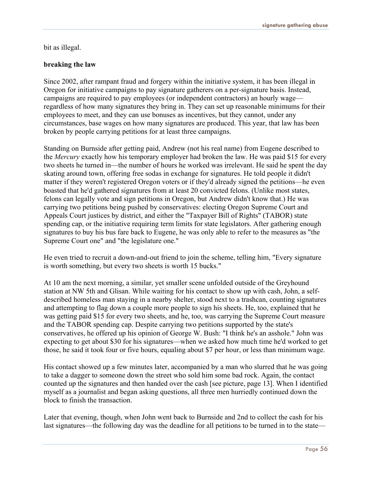bit as illegal.

#### **breaking the law**

Since 2002, after rampant fraud and forgery within the initiative system, it has been illegal in Oregon for initiative campaigns to pay signature gatherers on a per-signature basis. Instead, campaigns are required to pay employees (or independent contractors) an hourly wage regardless of how many signatures they bring in. They can set up reasonable minimums for their employees to meet, and they can use bonuses as incentives, but they cannot, under any circumstances, base wages on how many signatures are produced. This year, that law has been broken by people carrying petitions for at least three campaigns.

Standing on Burnside after getting paid, Andrew (not his real name) from Eugene described to the *Mercury* exactly how his temporary employer had broken the law. He was paid \$15 for every two sheets he turned in—the number of hours he worked was irrelevant. He said he spent the day skating around town, offering free sodas in exchange for signatures. He told people it didn't matter if they weren't registered Oregon voters or if they'd already signed the petitions—he even boasted that he'd gathered signatures from at least 20 convicted felons. (Unlike most states, felons can legally vote and sign petitions in Oregon, but Andrew didn't know that.) He was carrying two petitions being pushed by conservatives: electing Oregon Supreme Court and Appeals Court justices by district, and either the "Taxpayer Bill of Rights" (TABOR) state spending cap, or the initiative requiring term limits for state legislators. After gathering enough signatures to buy his bus fare back to Eugene, he was only able to refer to the measures as "the Supreme Court one" and "the legislature one."

He even tried to recruit a down-and-out friend to join the scheme, telling him, "Every signature is worth something, but every two sheets is worth 15 bucks."

At 10 am the next morning, a similar, yet smaller scene unfolded outside of the Greyhound station at NW 5th and Glisan. While waiting for his contact to show up with cash, John, a selfdescribed homeless man staying in a nearby shelter, stood next to a trashcan, counting signatures and attempting to flag down a couple more people to sign his sheets. He, too, explained that he was getting paid \$15 for every two sheets, and he, too, was carrying the Supreme Court measure and the TABOR spending cap. Despite carrying two petitions supported by the state's conservatives, he offered up his opinion of George W. Bush: "I think he's an asshole." John was expecting to get about \$30 for his signatures—when we asked how much time he'd worked to get those, he said it took four or five hours, equaling about \$7 per hour, or less than minimum wage.

His contact showed up a few minutes later, accompanied by a man who slurred that he was going to take a dagger to someone down the street who sold him some bad rock. Again, the contact counted up the signatures and then handed over the cash [see picture, page 13]. When I identified myself as a journalist and began asking questions, all three men hurriedly continued down the block to finish the transaction.

Later that evening, though, when John went back to Burnside and 2nd to collect the cash for his last signatures—the following day was the deadline for all petitions to be turned in to the state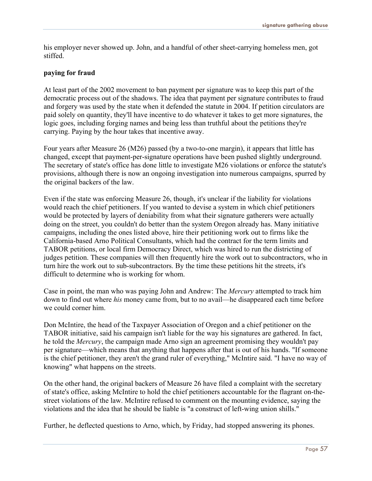his employer never showed up. John, and a handful of other sheet-carrying homeless men, got stiffed.

#### **paying for fraud**

At least part of the 2002 movement to ban payment per signature was to keep this part of the democratic process out of the shadows. The idea that payment per signature contributes to fraud and forgery was used by the state when it defended the statute in 2004. If petition circulators are paid solely on quantity, they'll have incentive to do whatever it takes to get more signatures, the logic goes, including forging names and being less than truthful about the petitions they're carrying. Paying by the hour takes that incentive away.

Four years after Measure 26 (M26) passed (by a two-to-one margin), it appears that little has changed, except that payment-per-signature operations have been pushed slightly underground. The secretary of state's office has done little to investigate M26 violations or enforce the statute's provisions, although there is now an ongoing investigation into numerous campaigns, spurred by the original backers of the law.

Even if the state was enforcing Measure 26, though, it's unclear if the liability for violations would reach the chief petitioners. If you wanted to devise a system in which chief petitioners would be protected by layers of deniability from what their signature gatherers were actually doing on the street, you couldn't do better than the system Oregon already has. Many initiative campaigns, including the ones listed above, hire their petitioning work out to firms like the California-based Arno Political Consultants, which had the contract for the term limits and TABOR petitions, or local firm Democracy Direct, which was hired to run the districting of judges petition. These companies will then frequently hire the work out to subcontractors, who in turn hire the work out to sub-subcontractors. By the time these petitions hit the streets, it's difficult to determine who is working for whom.

Case in point, the man who was paying John and Andrew: The *Mercury* attempted to track him down to find out where *his* money came from, but to no avail—he disappeared each time before we could corner him.

Don McIntire, the head of the Taxpayer Association of Oregon and a chief petitioner on the TABOR initiative, said his campaign isn't liable for the way his signatures are gathered. In fact, he told the *Mercury*, the campaign made Arno sign an agreement promising they wouldn't pay per signature—which means that anything that happens after that is out of his hands. "If someone is the chief petitioner, they aren't the grand ruler of everything," McIntire said. "I have no way of knowing" what happens on the streets.

On the other hand, the original backers of Measure 26 have filed a complaint with the secretary of state's office, asking McIntire to hold the chief petitioners accountable for the flagrant on-thestreet violations of the law. McIntire refused to comment on the mounting evidence, saying the violations and the idea that he should be liable is "a construct of left-wing union shills."

Further, he deflected questions to Arno, which, by Friday, had stopped answering its phones.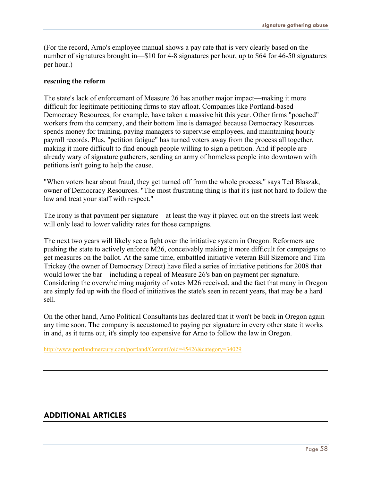(For the record, Arno's employee manual shows a pay rate that is very clearly based on the number of signatures brought in—\$10 for 4-8 signatures per hour, up to \$64 for 46-50 signatures per hour.)

#### **rescuing the reform**

The state's lack of enforcement of Measure 26 has another major impact—making it more difficult for legitimate petitioning firms to stay afloat. Companies like Portland-based Democracy Resources, for example, have taken a massive hit this year. Other firms "poached" workers from the company, and their bottom line is damaged because Democracy Resources spends money for training, paying managers to supervise employees, and maintaining hourly payroll records. Plus, "petition fatigue" has turned voters away from the process all together, making it more difficult to find enough people willing to sign a petition. And if people are already wary of signature gatherers, sending an army of homeless people into downtown with petitions isn't going to help the cause.

"When voters hear about fraud, they get turned off from the whole process," says Ted Blaszak, owner of Democracy Resources. "The most frustrating thing is that it's just not hard to follow the law and treat your staff with respect."

The irony is that payment per signature—at least the way it played out on the streets last week will only lead to lower validity rates for those campaigns.

The next two years will likely see a fight over the initiative system in Oregon. Reformers are pushing the state to actively enforce M26, conceivably making it more difficult for campaigns to get measures on the ballot. At the same time, embattled initiative veteran Bill Sizemore and Tim Trickey (the owner of Democracy Direct) have filed a series of initiative petitions for 2008 that would lower the bar—including a repeal of Measure 26's ban on payment per signature. Considering the overwhelming majority of votes M26 received, and the fact that many in Oregon are simply fed up with the flood of initiatives the state's seen in recent years, that may be a hard sell.

On the other hand, Arno Political Consultants has declared that it won't be back in Oregon again any time soon. The company is accustomed to paying per signature in every other state it works in and, as it turns out, it's simply too expensive for Arno to follow the law in Oregon.

<http://www.portlandmercury.com/portland/Content?oid=45426&category=34029>

#### **ADDITIONAL ARTICLES**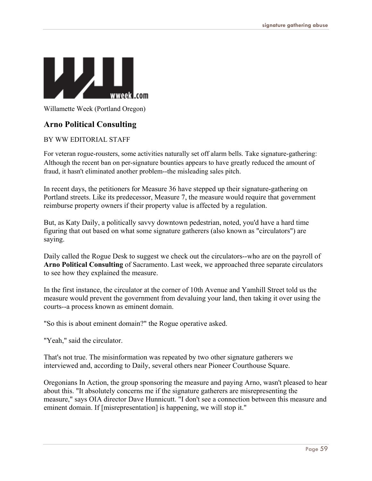

Willamette Week (Portland Oregon)

#### **Arno Political Consulting**

#### BY WW EDITORIAL STAFF

For veteran rogue-rousters, some activities naturally set off alarm bells. Take signature-gathering: Although the recent ban on per-signature bounties appears to have greatly reduced the amount of fraud, it hasn't eliminated another problem--the misleading sales pitch.

In recent days, the petitioners for Measure 36 have stepped up their signature-gathering on Portland streets. Like its predecessor, Measure 7, the measure would require that government reimburse property owners if their property value is affected by a regulation.

But, as Katy Daily, a politically savvy downtown pedestrian, noted, you'd have a hard time figuring that out based on what some signature gatherers (also known as "circulators") are saying.

Daily called the Rogue Desk to suggest we check out the circulators--who are on the payroll of **Arno Political Consulting** of Sacramento. Last week, we approached three separate circulators to see how they explained the measure.

In the first instance, the circulator at the corner of 10th Avenue and Yamhill Street told us the measure would prevent the government from devaluing your land, then taking it over using the courts--a process known as eminent domain.

"So this is about eminent domain?" the Rogue operative asked.

"Yeah," said the circulator.

That's not true. The misinformation was repeated by two other signature gatherers we interviewed and, according to Daily, several others near Pioneer Courthouse Square.

Oregonians In Action, the group sponsoring the measure and paying Arno, wasn't pleased to hear about this. "It absolutely concerns me if the signature gatherers are misrepresenting the measure," says OIA director Dave Hunnicutt. "I don't see a connection between this measure and eminent domain. If [misrepresentation] is happening, we will stop it."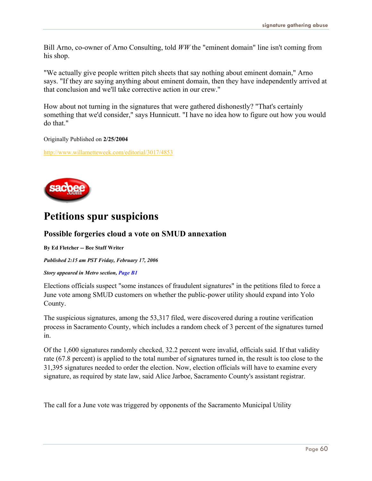Bill Arno, co-owner of Arno Consulting, told *WW* the "eminent domain" line isn't coming from his shop.

"We actually give people written pitch sheets that say nothing about eminent domain," Arno says. "If they are saying anything about eminent domain, then they have independently arrived at that conclusion and we'll take corrective action in our crew."

How about not turning in the signatures that were gathered dishonestly? "That's certainly something that we'd consider," says Hunnicutt. "I have no idea how to figure out how you would do that."

Originally Published on **2/25/2004**

<http://www.willametteweek.com/editorial/3017/4853>



## **Petitions spur suspicions**

#### **Possible forgeries cloud a vote on SMUD annexation**

**By Ed Fletcher -- Bee Staff Writer**

*Published 2:15 am PST Friday, February 17, 2006* 

*Story appeared in Metro section, Page B1* 

Elections officials suspect "some instances of fraudulent signatures" in the petitions filed to force a June vote among SMUD customers on whether the public-power utility should expand into Yolo County.

The suspicious signatures, among the 53,317 filed, were discovered during a routine verification process in Sacramento County, which includes a random check of 3 percent of the signatures turned in.

Of the 1,600 signatures randomly checked, 32.2 percent were invalid, officials said. If that validity rate (67.8 percent) is applied to the total number of signatures turned in, the result is too close to the 31,395 signatures needed to order the election. Now, election officials will have to examine every signature, as required by state law, said Alice Jarboe, Sacramento County's assistant registrar.

The call for a June vote was triggered by opponents of the Sacramento Municipal Utility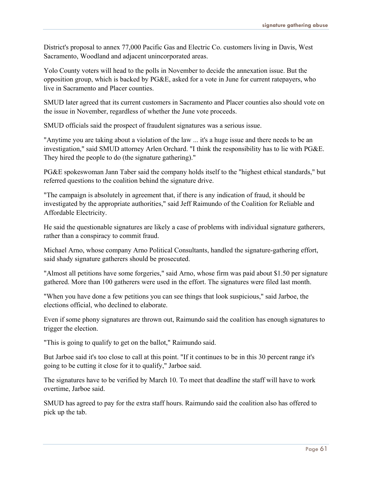District's proposal to annex 77,000 Pacific Gas and Electric Co. customers living in Davis, West Sacramento, Woodland and adjacent unincorporated areas.

Yolo County voters will head to the polls in November to decide the annexation issue. But the opposition group, which is backed by PG&E, asked for a vote in June for current ratepayers, who live in Sacramento and Placer counties.

SMUD later agreed that its current customers in Sacramento and Placer counties also should vote on the issue in November, regardless of whether the June vote proceeds.

SMUD officials said the prospect of fraudulent signatures was a serious issue.

"Anytime you are taking about a violation of the law ... it's a huge issue and there needs to be an investigation," said SMUD attorney Arlen Orchard. "I think the responsibility has to lie with PG&E. They hired the people to do (the signature gathering)."

PG&E spokeswoman Jann Taber said the company holds itself to the "highest ethical standards," but referred questions to the coalition behind the signature drive.

"The campaign is absolutely in agreement that, if there is any indication of fraud, it should be investigated by the appropriate authorities," said Jeff Raimundo of the Coalition for Reliable and Affordable Electricity.

He said the questionable signatures are likely a case of problems with individual signature gatherers, rather than a conspiracy to commit fraud.

Michael Arno, whose company Arno Political Consultants, handled the signature-gathering effort, said shady signature gatherers should be prosecuted.

"Almost all petitions have some forgeries," said Arno, whose firm was paid about \$1.50 per signature gathered. More than 100 gatherers were used in the effort. The signatures were filed last month.

"When you have done a few petitions you can see things that look suspicious," said Jarboe, the elections official, who declined to elaborate.

Even if some phony signatures are thrown out, Raimundo said the coalition has enough signatures to trigger the election.

"This is going to qualify to get on the ballot," Raimundo said.

But Jarboe said it's too close to call at this point. "If it continues to be in this 30 percent range it's going to be cutting it close for it to qualify," Jarboe said.

The signatures have to be verified by March 10. To meet that deadline the staff will have to work overtime, Jarboe said.

SMUD has agreed to pay for the extra staff hours. Raimundo said the coalition also has offered to pick up the tab.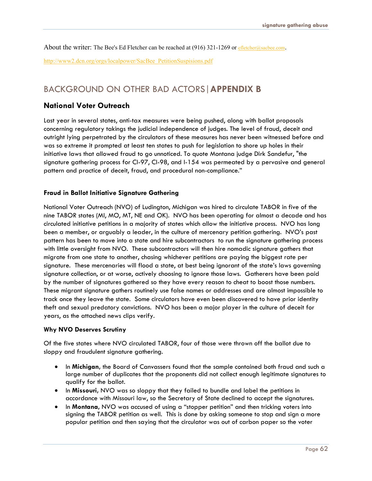About the writer: The Bee's Ed Fletcher can be reached at (916) 321-1269 or [efletcher@sacbee.com](mailto:efletcher@sacbee.com).

[http://www2.dcn.org/orgs/localpower/SacBee\\_PetitionSuspisions.pdf](http://www2.dcn.org/orgs/localpower/SacBee_PetitionSuspisions.pdf)

## BACKGROUND ON OTHER BAD ACTORS|**APPENDIX B**

#### **National Voter Outreach**

Last year in several states, anti-tax measures were being pushed, along with ballot proposals concerning regulatory takings the judicial independence of judges. The level of fraud, deceit and outright lying perpetrated by the circulators of these measures has never been witnessed before and was so extreme it prompted at least ten states to push for legislation to shore up holes in their initiative laws that allowed fraud to go unnoticed. To quote Montana judge Dirk Sandefur, "the signature gathering process for CI-97, CI-98, and I-154 was permeated by a pervasive and general pattern and practice of deceit, fraud, and procedural non-compliance."

#### **Fraud in Ballot Initiative Signature Gathering**

National Voter Outreach (NVO) of Ludington, Michigan was hired to circulate TABOR in five of the nine TABOR states (MI, MO, MT, NE and OK). NVO has been operating for almost a decade and has circulated initiative petitions in a majority of states which allow the initiative process. NVO has long been a member, or arguably a leader, in the culture of mercenary petition gathering. NVO's past pattern has been to move into a state and hire subcontractors to run the signature gathering process with little oversight from NVO. These subcontractors will then hire nomadic signature gathers that migrate from one state to another, chasing whichever petitions are paying the biggest rate per signature. These mercenaries will flood a state, at best being ignorant of the state's laws governing signature collection, or at worse, actively choosing to ignore those laws. Gatherers have been paid by the number of signatures gathered so they have every reason to cheat to boost those numbers. These migrant signature gathers routinely use false names or addresses and are almost impossible to track once they leave the state. Some circulators have even been discovered to have prior identity theft and sexual predatory convictions. NVO has been a major player in the culture of deceit for years, as the attached news clips verify.

#### **Why NVO Deserves Scrutiny**

Of the five states where NVO circulated TABOR, four of those were thrown off the ballot due to sloppy and fraudulent signature gathering.

- In Michigan, the Board of Canvassers found that the sample contained both fraud and such a large number of duplicates that the proponents did not collect enough legitimate signatures to qualify for the ballot.
- ! In **Missouri,** NVO was so sloppy that they failed to bundle and label the petitions in accordance with Missouri law, so the Secretary of State declined to accept the signatures.
- ! In **Montana,** NVO was accused of using a "stopper petition" and then tricking voters into signing the TABOR petition as well. This is done by asking someone to stop and sign a more popular petition and then saying that the circulator was out of carbon paper so the voter